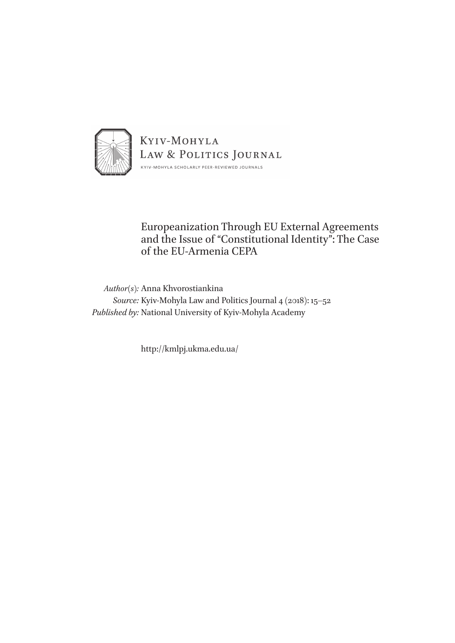

### Europeanization Through EU External Agreements and the Issue of "Constitutional Identity": The Case of the EU-Armenia CEPA

*Author(s):* Anna Khvorostiankina *Source:* Kyiv-Mohyla Law and Politics Journal 4 (2018): 15–52 *Published by:* National University of Kyiv-Mohyla Academy

http://kmlpj.ukma.edu.ua/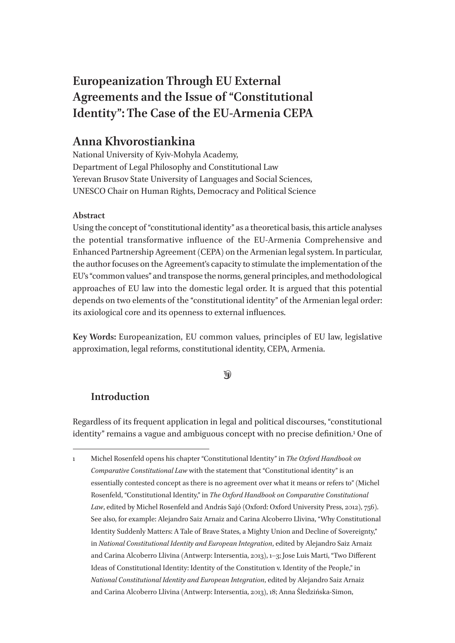# **Europeanization Through EU External Agreements and the Issue of "Constitutional Identity": The Case of the EU-Armenia CEPA**

## **Anna Khvorostiankina**

National University of Kyiv-Mohyla Academy, Department of Legal Philosophy and Constitutional Law Yerevan Brusov State University of Languages and Social Sciences, UNESCO Chair on Human Rights, Democracy and Political Science

### **Abstract**

Using the concept of "constitutional identity" as a theoretical basis, this article analyses the potential transformative influence of the EU-Armenia Comprehensive and Enhanced Partnership Agreement (CEPA) on the Armenian legal system. In particular, the author focuses on the Agreement's capacity to stimulate the implementation of the EU's "common values" and transpose the norms, general principles, and methodological approaches of EU law into the domestic legal order. It is argued that this potential depends on two elements of the "constitutional identity" of the Armenian legal order: its axiological core and its openness to external influences.

**Key Words:** Europeanization, EU common values, principles of EU law, legislative approximation, legal reforms, constitutional identity, CEPA, Armenia.

### $\circledast$

### **Introduction**

Regardless of its frequent application in legal and political discourses, "constitutional identity" remains a vague and ambiguous concept with no precise definition.<sup>1</sup> One of

<sup>1</sup> Michel Rosenfeld opens his chapter "Constitutional Identity" in *The Oxford Handbook on Comparative Constitutional Law* with the statement that "Constitutional identity" is an essentially contested concept as there is no agreement over what it means or refers to" (Michel Rosenfeld, "Constitutional Identity," in *The Oxford Handbook on Comparative Constitutional Law*, edited by Michel Rosenfeld and András Sajó (Oxford: Oxford University Press, 2012), 756). See also, for example: Alejandro Saiz Arnaiz and Carina Alcoberro Llivina, "Why Constitutional Identity Suddenly Matters: A Tale of Brave States, a Mighty Union and Decline of Sovereignty," in *National Constitutional Identity and European Integration*, edited by Alejandro Saiz Arnaiz and Carina Alcoberro Llivina (Antwerp: Intersentia, 2013), 1–3; Jose Luis Marti, "Two Different Ideas of Constitutional Identity: Identity of the Constitution v. Identity of the People," in *National Constitutional Identity and European Integration*, edited by Alejandro Saiz Arnaiz and Carina Alcoberro Llivina (Antwerp: Intersentia, 2013), 18; Anna Śledzińska-Simon,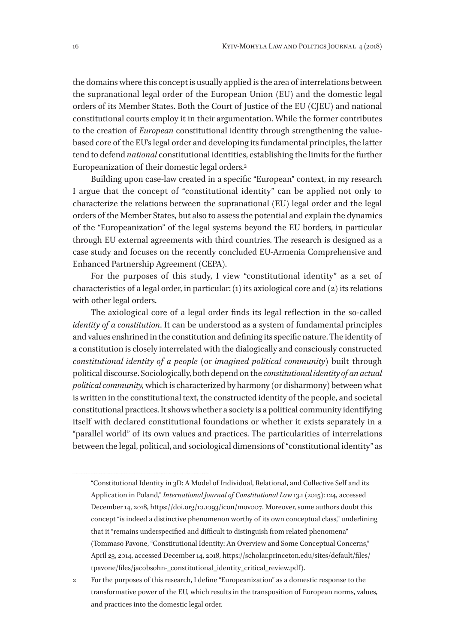the domains where this concept is usually applied is the area of interrelations between the supranational legal order of the European Union (EU) and the domestic legal orders of its Member States. Both the Court of Justice of the EU (CJEU) and national constitutional courts employ it in their argumentation. While the former contributes to the creation of *European* constitutional identity through strengthening the valuebased core of the EU's legal order and developing its fundamental principles, the latter tend to defend *national* constitutional identities, establishing the limits for the further Europeanization of their domestic legal orders.2

Building upon case-law created in a specific "European" context, in my research I argue that the concept of "constitutional identity" can be applied not only to characterize the relations between the supranational (EU) legal order and the legal orders of the Member States, but also to assess the potential and explain the dynamics of the "Europeanization" of the legal systems beyond the EU borders, in particular through EU external agreements with third countries. The research is designed as a case study and focuses on the recently concluded EU-Armenia Comprehensive and Enhanced Partnership Agreement (CEPA).

For the purposes of this study, I view "constitutional identity" as a set of characteristics of a legal order, in particular: (1) its axiological core and (2) its relations with other legal orders.

The axiological core of a legal order finds its legal reflection in the so-called *identity of a constitution*. It can be understood as a system of fundamental principles and values enshrined in the constitution and defining its specific nature. The identity of a constitution is closely interrelated with the dialogically and consciously constructed *constitutional identity of a people* (or *imagined political community*) built through political discourse. Sociologically, both depend on the *constitutional identity of an actual political community,* which is characterized by harmony (or disharmony) between what is written in the constitutional text, the constructed identity of the people, and societal constitutional practices. It shows whether a society is a political community identifying itself with declared constitutional foundations or whether it exists separately in a "parallel world" of its own values and practices. The particularities of interrelations between the legal, political, and sociological dimensions of "constitutional identity" as

"Constitutional Identity in 3D: A Model of Individual, Relational, and Collective Self and its Application in Poland," *International Journal of Constitutional Law* 13.1 (2015): 124, accessed December 14, 2018, https://doi.org/10.1093/icon/mov007. Moreover, some authors doubt this concept "is indeed a distinctive phenomenon worthy of its own conceptual class," underlining that it "remains underspecified and difficult to distinguish from related phenomena" (Tommaso Pavone, "Constitutional Identity: An Overview and Some Conceptual Concerns," April 23, 2014, accessed December 14, 2018, https://scholar.princeton.edu/sites/default/files/ tpavone/files/jacobsohn-\_constitutional\_identity\_critical\_review.pdf).

2 For the purposes of this research, I define "Europeanization" as a domestic response to the transformative power of the EU, which results in the transposition of European norms, values, and practices into the domestic legal order.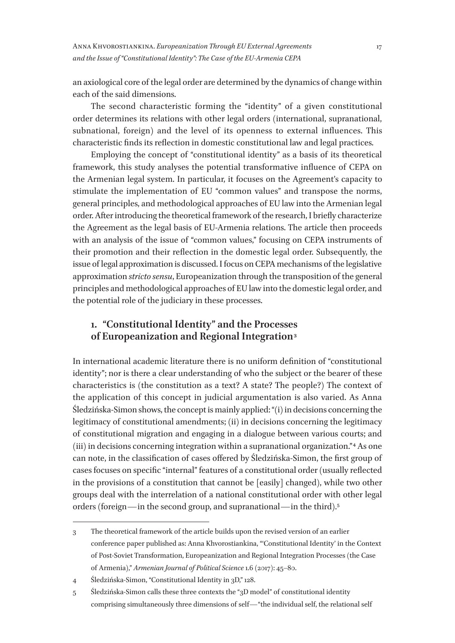an axiological core of the legal order are determined by the dynamics of change within each of the said dimensions.

The second characteristic forming the "identity" of a given constitutional order determines its relations with other legal orders (international, supranational, subnational, foreign) and the level of its openness to external influences. This characteristic finds its reflection in domestic constitutional law and legal practices.

Employing the concept of "constitutional identity" as a basis of its theoretical framework, this study analyses the potential transformative influence of CEPA on the Armenian legal system. In particular, it focuses on the Agreement's capacity to stimulate the implementation of EU "common values" and transpose the norms, general principles, and methodological approaches of EU law into the Armenian legal order. After introducing the theoretical framework of the research, I briefly characterize the Agreement as the legal basis of EU-Armenia relations. The article then proceeds with an analysis of the issue of "common values," focusing on CEPA instruments of their promotion and their reflection in the domestic legal order. Subsequently, the issue of legal approximation is discussed. I focus on CEPA mechanisms of the legislative approximation *stricto sensu*, Europeanization through the transposition of the general principles and methodological approaches of EU law into the domestic legal order, and the potential role of the judiciary in these processes.

### **1. "Constitutional Identity" and the Processes of Europeanization and Regional Integration 3**

In international academic literature there is no uniform definition of "constitutional identity"; nor is there a clear understanding of who the subject or the bearer of these characteristics is (the constitution as a text? A state? The people?) The context of the application of this concept in judicial argumentation is also varied. As Anna Śledzińska-Simon shows, the concept is mainly applied: "(i) in decisions concerning the legitimacy of constitutional amendments; (ii) in decisions concerning the legitimacy of constitutional migration and engaging in a dialogue between various courts; and (iii) in decisions concerning integration within a supranational organization."<sup>4</sup> As one can note, in the classification of cases offered by Śledzińska-Simon, the first group of cases focuses on specific "internal" features of a constitutional order (usually reflected in the provisions of a constitution that cannot be [easily] changed), while two other groups deal with the interrelation of a national constitutional order with other legal orders (foreign—in the second group, and supranational—in the third).5

<sup>3</sup> The theoretical framework of the article builds upon the revised version of an earlier conference paper published as: Anna Khvorostiankina, "'Constitutional Identity' in the Context of Post-Soviet Transformation, Europeanization and Regional Integration Processes (the Case of Armenia)," *Armenian Journal of Political Science* 1.6 (2017): 45–80.

<sup>4</sup> Śledzińska-Simon, "Constitutional Identity in 3D," 128.

<sup>5</sup> Śledzińska-Simon calls these three contexts the "3D model" of constitutional identity comprising simultaneously three dimensions of self—"the individual self, the relational self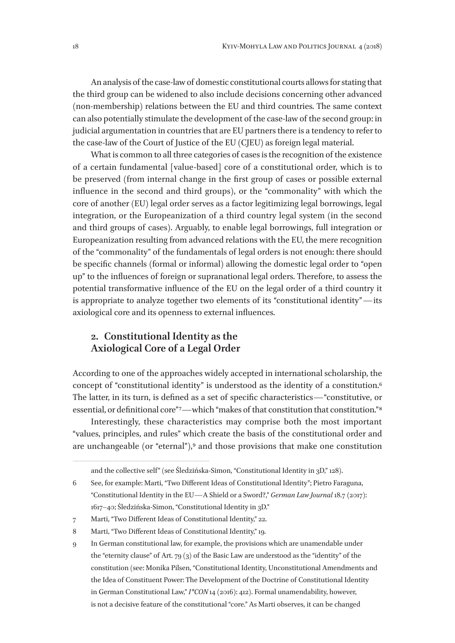An analysis of the case-law of domestic constitutional courts allows for stating that the third group can be widened to also include decisions concerning other advanced (non-membership) relations between the EU and third countries. The same context can also potentially stimulate the development of the case-law of the second group: in judicial argumentation in countries that are EU partners there is a tendency to refer to the case-law of the Court of Justice of the EU (CJEU) as foreign legal material.

What is common to all three categories of cases is the recognition of the existence of a certain fundamental [value-based] core of a constitutional order, which is to be preserved (from internal change in the first group of cases or possible external influence in the second and third groups), or the "commonality" with which the core of another (EU) legal order serves as a factor legitimizing legal borrowings, legal integration, or the Europeanization of a third country legal system (in the second and third groups of cases). Arguably, to enable legal borrowings, full integration or Europeanization resulting from advanced relations with the EU, the mere recognition of the "commonality" of the fundamentals of legal orders is not enough: there should be specific channels (formal or informal) allowing the domestic legal order to "open up" to the influences of foreign or supranational legal orders. Therefore, to assess the potential transformative influence of the EU on the legal order of a third country it is appropriate to analyze together two elements of its "constitutional identity"—its axiological core and its openness to external influences.

#### **2. Constitutional Identity as the Axiological Core of a Legal Order**

According to one of the approaches widely accepted in international scholarship, the concept of "constitutional identity" is understood as the identity of a constitution.6 The latter, in its turn, is defined as a set of specific characteristics—"constitutive, or essential, or definitional core"<sup>7</sup>—which "makes of that constitution that constitution."<sup>8</sup>

Interestingly, these characteristics may comprise both the most important "values, principles, and rules" which create the basis of the constitutional order and are unchangeable (or "eternal"),<sup>9</sup> and those provisions that make one constitution

and the collective self" (see Śledzińska-Simon, "Constitutional Identity in 3D," 128).

<sup>6</sup> See, for example: Marti, "Two Different Ideas of Constitutional Identity"; Pietro Faraguna, "Constitutional Identity in the EU—A Shield or a Sword?," *German Law Journal* 18.7 (2017): 1617–40; Śledzińska-Simon, "Constitutional Identity in 3D."

<sup>7</sup> Marti, "Two Different Ideas of Constitutional Identity," 22.

<sup>8</sup> Marti, "Two Different Ideas of Constitutional Identity," 19.

<sup>9</sup> In German constitutional law, for example, the provisions which are unamendable under the "eternity clause" of Art. 79 (3) of the Basic Law are understood as the "identity" of the constitution (see: Monika Pilsen, "Constitutional Identity, Unconstitutional Amendments and the Idea of Constituent Power: The Development of the Doctrine of Constitutional Identity in German Constitutional Law," *I\*CON* 14 (2016): 412). Formal unamendability, however, is not a decisive feature of the constitutional "core." As Marti observes, it can be changed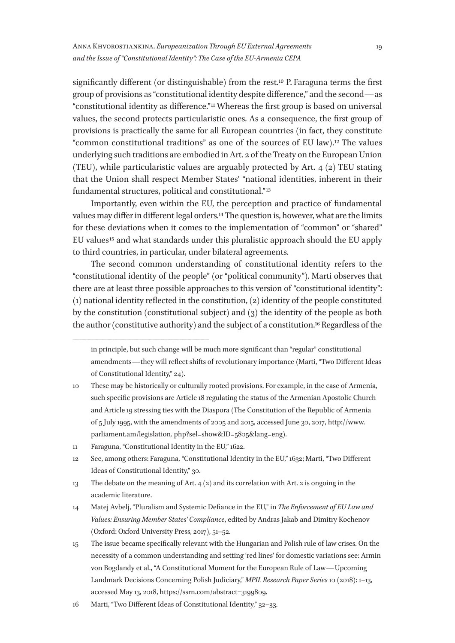significantly different (or distinguishable) from the rest.10 P. Faraguna terms the first group of provisions as "constitutional identity despite difference," and the second—as "constitutional identity as difference." 11 Whereas the first group is based on universal values, the second protects particularistic ones. As a consequence, the first group of provisions is practically the same for all European countries (in fact, they constitute "common constitutional traditions" as one of the sources of EU law).12 The values underlying such traditions are embodied in Art. 2 of the Treaty on the European Union (TEU), while particularistic values are arguably protected by Art.  $4 \text{ (2)}$  TEU stating that the Union shall respect Member States' "national identities, inherent in their fundamental structures, political and constitutional." 13

Importantly, even within the EU, the perception and practice of fundamental values may differ in different legal orders.14 The question is, however, what are the limits for these deviations when it comes to the implementation of "common" or "shared" EU values<sup>15</sup> and what standards under this pluralistic approach should the EU apply to third countries, in particular, under bilateral agreements.

The second common understanding of constitutional identity refers to the "constitutional identity of the people" (or "political community"). Marti observes that there are at least three possible approaches to this version of "constitutional identity": (1) national identity reflected in the constitution, (2) identity of the people constituted by the constitution (constitutional subject) and (3) the identity of the people as both the author (constitutive authority) and the subject of a constitution.16 Regardless of the

- 11 Faraguna, "Constitutional Identity in the EU," 1622.
- 12 See, among others: Faraguna, "Constitutional Identity in the EU," 1632; Marti, "Two Different Ideas of Constitutional Identity," 30.
- 13 The debate on the meaning of Art. 4 (2) and its correlation with Art. 2 is ongoing in the academic literature.
- 14 Matej Avbelj, "Pluralism and Systemic Defiance in the EU," in *The Enforcement of EU Law and Values: Ensuring Member States' Compliance*, edited by Andras Jakab and Dimitry Kochenov (Oxford: Oxford University Press, 2017), 51–52.
- 15 The issue became specifically relevant with the Hungarian and Polish rule of law crises. On the necessity of a common understanding and setting 'red lines' for domestic variations see: Armin von Bogdandy et al., "A Constitutional Moment for the European Rule of Law—Upcoming Landmark Decisions Concerning Polish Judiciary," *MPIL Research Paper Series* 10 (2018): 1–13, accessed May 13, 2018, https://ssrn.com/abstract=3199809.

in principle, but such change will be much more significant than "regular" constitutional amendments—they will reflect shifts of revolutionary importance (Marti, "Two Different Ideas of Constitutional Identity," 24).

<sup>10</sup> These may be historically or culturally rooted provisions. For example, in the case of Armenia, such specific provisions are Article 18 regulating the status of the Armenian Apostolic Church and Article 19 stressing ties with the Diaspora (The Constitution of the Republic of Armenia of 5 July 1995, with the amendments of 2005 and 2015, accessed June 30, 2017, http://www. parliament.am/legislation. php?sel=show&ID=5805&lang=eng).

<sup>16</sup> Marti, "Two Different Ideas of Constitutional Identity," 32–33.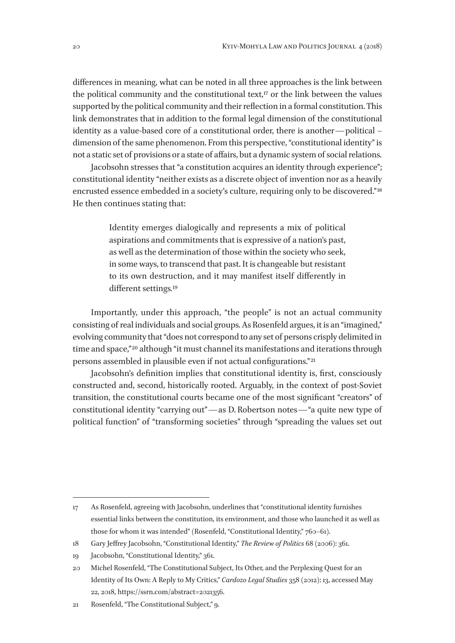differences in meaning, what can be noted in all three approaches is the link between the political community and the constitutional text, $17$  or the link between the values supported by the political community and their reflection in a formal constitution. This link demonstrates that in addition to the formal legal dimension of the constitutional identity as a value-based core of a constitutional order, there is another—political – dimension of the same phenomenon. From this perspective, "constitutional identity" is not a static set of provisions or a state of affairs, but a dynamic system of social relations.

Jacobsohn stresses that "a constitution acquires an identity through experience"; constitutional identity "neither exists as a discrete object of invention nor as a heavily encrusted essence embedded in a society's culture, requiring only to be discovered."<sup>18</sup> He then continues stating that:

> Identity emerges dialogically and represents a mix of political aspirations and commitments that is expressive of a nation's past, as well as the determination of those within the society who seek, in some ways, to transcend that past. It is changeable but resistant to its own destruction, and it may manifest itself differently in different settings*.*19

Importantly, under this approach, "the people" is not an actual community consisting of real individuals and social groups. As Rosenfeld argues, it is an "imagined," evolving community that "does not correspond to any set of persons crisply delimited in time and space,"<sup>20</sup> although "it must channel its manifestations and iterations through persons assembled in plausible even if not actual configurations." 21

Jacobsohn's definition implies that constitutional identity is, first, consciously constructed and, second, historically rooted. Arguably, in the context of post-Soviet transition, the constitutional courts became one of the most significant "creators" of constitutional identity "carrying out"—as D. Robertson notes—"a quite new type of political function" of "transforming societies" through "spreading the values set out

<sup>17</sup> As Rosenfeld, agreeing with Jacobsohn, underlines that "constitutional identity furnishes essential links between the constitution, its environment, and those who launched it as well as those for whom it was intended" (Rosenfeld, "Constitutional Identity," 760–61).

<sup>18</sup> Gary Jeffrey Jacobsohn, "Constitutional Identity," *The Review of Politics* 68 (2006): 361.

<sup>19</sup> Jacobsohn, "Constitutional Identity," 361.

<sup>20</sup> Michel Rosenfeld, "The Constitutional Subject, Its Other, and the Perplexing Quest for an Identity of Its Own: A Reply to My Critics," *Cardozo Legal Studies* 358 (2012): 13, accessed May 22, 2018, https://ssrn.com/abstract=2021356.

<sup>21</sup> Rosenfeld, "The Constitutional Subject," 9.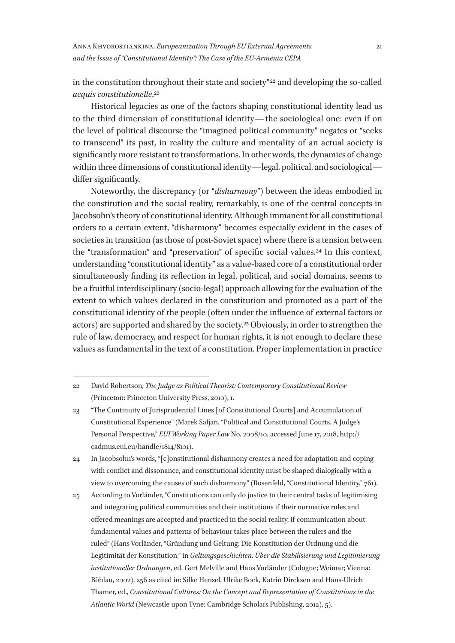in the constitution throughout their state and society" 22 and developing the so-called *acquis constitutionelle*.23

Historical legacies as one of the factors shaping constitutional identity lead us to the third dimension of constitutional identity—the sociological one: even if on the level of political discourse the "imagined political community" negates or "seeks to transcend" its past, in reality the culture and mentality of an actual society is significantly more resistant to transformations. In other words, the dynamics of change within three dimensions of constitutional identity—legal, political, and sociological differ significantly.

Noteworthy, the discrepancy (or "*disharmony*") between the ideas embodied in the constitution and the social reality, remarkably, is one of the central concepts in Jacobsohn's theory of constitutional identity. Although immanent for all constitutional orders to a certain extent, "disharmony" becomes especially evident in the cases of societies in transition (as those of post-Soviet space) where there is a tension between the "transformation" and "preservation" of specific social values.24 In this context, understanding "constitutional identity" as a value-based core of a constitutional order simultaneously finding its reflection in legal, political, and social domains, seems to be a fruitful interdisciplinary (socio-legal) approach allowing for the evaluation of the extent to which values declared in the constitution and promoted as a part of the constitutional identity of the people (often under the influence of external factors or actors) are supported and shared by the society.25 Obviously, in order to strengthen the rule of law, democracy, and respect for human rights, it is not enough to declare these values as fundamental in the text of a constitution. Proper implementation in practice

<sup>22</sup> David Robertson, *The Judge as Political Theorist: Contemporary Constitutional Review* (Princeton: Princeton University Press, 2010), 1.

<sup>23</sup> "The Continuity of Jurisprudential Lines [of Constitutional Courts] and Accumulation of Constitutional Experience" (Marek Safjan, "Political and Constitutional Courts. A Judge's Personal Perspective," *EUI Working Paper Law* No. 2008/10, accessed June 17, 2018, http:// cadmus.eui.eu/handle/1814/8101).

<sup>24</sup> In Jacobsohn's words, "[c]onstitutional disharmony creates a need for adaptation and coping with conflict and dissonance, and constitutional identity must be shaped dialogically with a view to overcoming the causes of such disharmony" (Rosenfeld, "Constitutional Identity," 761).

<sup>25</sup> According to Vorländer, "Constitutions can only do justice to their central tasks of legitimising and integrating political communities and their institutions if their normative rules and offered meanings are accepted and practiced in the social reality, if communication about fundamental values and patterns of behaviour takes place between the rulers and the ruled" (Hans Vorländer, "Gründung und Geltung: Die Konstitution der Ordnung und die Legitimität der Konstitution," in *Geltungsgeschichten: Über die Stabilisierung und Legitimierung institutioneller Ordnungen*, ed. Gert Melville and Hans Vorländer (Cologne; Weimar; Vienna: Böhlau, 2002), 256 as cited in: Silke Hensel, Ulrike Bock, Katrin Dircksen and Hans-Ulrich Thamer, ed., *Constitutional Cultures: On the Concept and Representation of Constitutions in the Atlantic World* (Newcastle upon Tyne: Cambridge Scholars Publishing, 2012), 5).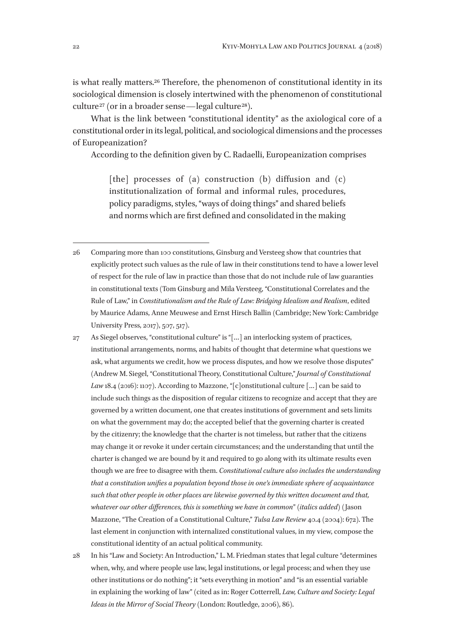is what really matters.26 Therefore, the phenomenon of constitutional identity in its sociological dimension is closely intertwined with the phenomenon of constitutional culture<sup>27</sup> (or in a broader sense—legal culture<sup>28</sup>).

What is the link between "constitutional identity" as the axiological core of a constitutional order in its legal, political, and sociological dimensions and the processes of Europeanization?

According to the definition given by C. Radaelli, Europeanization comprises

[the] processes of (a) construction (b) diffusion and  $(c)$ institutionalization of formal and informal rules, procedures, policy paradigms, styles, "ways of doing things" and shared beliefs and norms which are first defined and consolidated in the making

- 27 As Siegel observes, "constitutional culture" is "[…] an interlocking system of practices, institutional arrangements, norms, and habits of thought that determine what questions we ask, what arguments we credit, how we process disputes, and how we resolve those disputes" (Andrew M. Siegel, "Constitutional Theory, Constitutional Culture," *Journal of Constitutional*  Law 18.4 (2016): 1107). According to Mazzone, "[c]onstitutional culture [...] can be said to include such things as the disposition of regular citizens to recognize and accept that they are governed by a written document, one that creates institutions of government and sets limits on what the government may do; the accepted belief that the governing charter is created by the citizenry; the knowledge that the charter is not timeless, but rather that the citizens may change it or revoke it under certain circumstances; and the understanding that until the charter is changed we are bound by it and required to go along with its ultimate results even though we are free to disagree with them. *Constitutional culture also includes the understanding that a constitution unifies a population beyond those in one's immediate sphere of acquaintance such that other people in other places are likewise governed by this written document and that, whatever our other differences, this is something we have in common*" (*italics added*) (Jason Mazzone, "The Creation of a Constitutional Culture," *Tulsa Law Review* 40.4 (2004): 672). The last element in conjunction with internalized constitutional values, in my view, compose the constitutional identity of an actual political community.
- 28 In his "Law and Society: An Introduction," L. M. Friedman states that legal culture "determines when, why, and where people use law, legal institutions, or legal process; and when they use other institutions or do nothing"; it "sets everything in motion" and "is an essential variable in explaining the working of law" (cited as in: Roger Cotterrell, *Law, Culture and Society: Legal Ideas in the Mirror of Social Theory* (London: Routledge, 2006), 86).

<sup>26</sup> Comparing more than 100 constitutions, Ginsburg and Versteeg show that countries that explicitly protect such values as the rule of law in their constitutions tend to have a lower level of respect for the rule of law in practice than those that do not include rule of law guaranties in constitutional texts (Tom Ginsburg and Mila Versteeg, "Constitutional Correlates and the Rule of Law," in *Constitutionalism and the Rule of Law: Bridging Idealism and Realism*, edited by Maurice Adams, Anne Meuwese and Ernst Hirsch Ballin (Cambridge; New York: Cambridge University Press, 2017), 507, 517).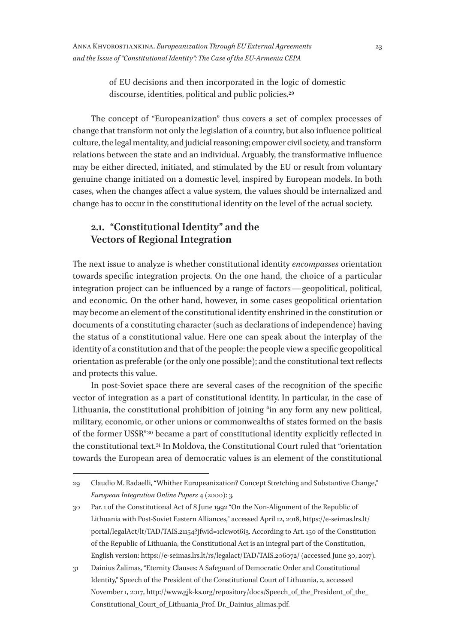of EU decisions and then incorporated in the logic of domestic discourse, identities, political and public policies.29

The concept of "Europeanization" thus covers a set of complex processes of change that transform not only the legislation of a country, but also influence political culture, the legal mentality, and judicial reasoning; empower civil society, and transform relations between the state and an individual. Arguably, the transformative influence may be either directed, initiated, and stimulated by the EU or result from voluntary genuine change initiated on a domestic level, inspired by European models. In both cases, when the changes affect a value system, the values should be internalized and change has to occur in the constitutional identity on the level of the actual society.

### **2.1. "Constitutional Identity" and the Vectors of Regional Integration**

The next issue to analyze is whether constitutional identity *encompasses* orientation towards specific integration projects. On the one hand, the choice of a particular integration project can be influenced by a range of factors—geopolitical, political, and economic. On the other hand, however, in some cases geopolitical orientation may become an element of the constitutional identity enshrined in the constitution or documents of a constituting character (such as declarations of independence) having the status of a constitutional value. Here one can speak about the interplay of the identity of a constitution and that of the people: the people view a specific geopolitical orientation as preferable (or the only one possible); and the constitutional text reflects and protects this value.

In post-Soviet space there are several cases of the recognition of the specific vector of integration as a part of constitutional identity. In particular, in the case of Lithuania, the constitutional prohibition of joining "in any form any new political, military, economic, or other unions or commonwealths of states formed on the basis of the former USSR" 30 became a part of constitutional identity explicitly reflected in the constitutional text.31 In Moldova, the Constitutional Court ruled that "orientation towards the European area of democratic values is an element of the constitutional

<sup>29</sup> Claudio M. Radaelli, "Whither Europeanization? Concept Stretching and Substantive Change," *European Integration Online Papers* 4 (2000): 3.

<sup>30</sup> Par. 1 of the Constitutional Act of 8 June 1992 "On the Non-Alignment of the Republic of Lithuania with Post-Soviet Eastern Alliances," accessed April 12, 2018, https://e-seimas.lrs.lt/ portal/legalAct/lt/TAD/TAIS.21154?jfwid=1clcwot6i3. According to Art. 150 of the Constitution of the Republic of Lithuania, the Constitutional Act is an integral part of the Constitution, English version: https://e-seimas.lrs.lt/rs/legalact/TAD/TAIS.206072/ (accessed June 30, 2017).

<sup>31</sup> Dainius Žalimas, "Eternity Clauses: A Safeguard of Democratic Order and Constitutional Identity," Speech of the President of the Constitutional Court of Lithuania, 2, accessed November 1, 2017, http://www.gjk-ks.org/repository/docs/Speech\_of\_the\_President\_of\_the\_ Constitutional\_Court\_of\_Lithuania\_Prof. Dr.\_Dainius\_alimas.pdf.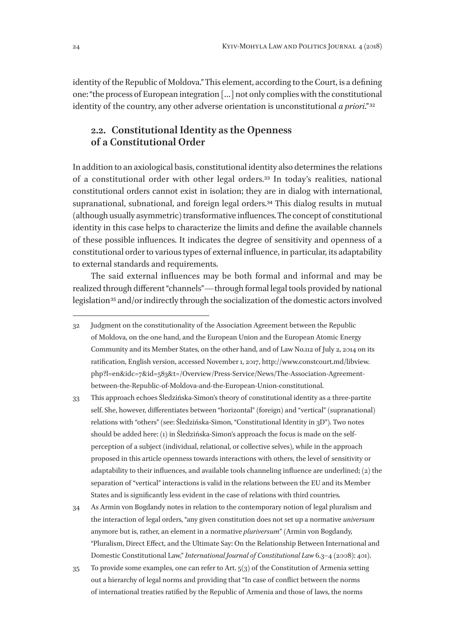identity of the Republic of Moldova." This element, according to the Court, is a defining one: "the process of European integration […] not only complies with the constitutional identity of the country, any other adverse orientation is unconstitutional *a priori*." 32

### **2.2. Constitutional Identity as the Openness of a Constitutional Order**

In addition to an axiological basis, constitutional identity also determines the relations of a constitutional order with other legal orders.33 In today's realities, national constitutional orders cannot exist in isolation; they are in dialog with international, supranational, subnational, and foreign legal orders.<sup>34</sup> This dialog results in mutual (although usually asymmetric) transformative influences. The concept of constitutional identity in this case helps to characterize the limits and define the available channels of these possible influences. It indicates the degree of sensitivity and openness of a constitutional order to various types of external influence, in particular, its adaptability to external standards and requirements.

The said external influences may be both formal and informal and may be realized through different "channels"—through formal legal tools provided by national legislation<sup>35</sup> and/or indirectly through the socialization of the domestic actors involved

33 This approach echoes Śledzińska-Simon's theory of constitutional identity as a three-partite self. She, however, differentiates between "horizontal" (foreign) and "vertical" (supranational) relations with "others" (see: Śledzińska-Simon, "Constitutional Identity in 3D"). Two notes should be added here: (1) in Śledzińska-Simon's approach the focus is made on the selfperception of a subject (individual, relational, or collective selves), while in the approach proposed in this article openness towards interactions with others, the level of sensitivity or adaptability to their influences, and available tools channeling influence are underlined; (2) the separation of "vertical" interactions is valid in the relations between the EU and its Member States and is significantly less evident in the case of relations with third countries.

34 As Armin von Bogdandy notes in relation to the contemporary notion of legal pluralism and the interaction of legal orders, "any given constitution does not set up a normative *universum* anymore but is, rather, an element in a normative *pluriversum*" (Armin von Bogdandy, "Pluralism, Direct Effect, and the Ultimate Say: On the Relationship Between International and Domestic Constitutional Law," *International Journal of Constitutional Law* 6.3–4 (2008): 401).

 $35$  To provide some examples, one can refer to Art.  $5(3)$  of the Constitution of Armenia setting out a hierarchy of legal norms and providing that "In case of conflict between the norms of international treaties ratified by the Republic of Armenia and those of laws, the norms

<sup>32</sup> Judgment on the constitutionality of the Association Agreement between the Republic of Moldova, on the one hand, and the European Union and the European Atomic Energy Community and its Member States, on the other hand, and of Law No.112 of July 2, 2014 on its ratification, English version, accessed November 1, 2017, http://www.constcourt.md/libview. php?l=en&idc=7&id=583&t=/Overview/Press-Service/News/The-Association-Agreementbetween-the-Republic-of-Moldova-and-the-European-Union-constitutional.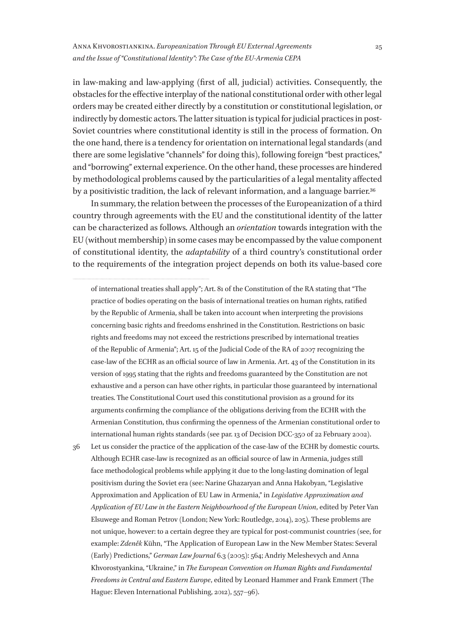#### Anna Khvorostiankina. *Europeanization Through EU External Agreements and the Issue of "Constitutional Identity": The Case of the EU-Armenia CEPA*

in law-making and law-applying (first of all, judicial) activities. Consequently, the obstacles for the effective interplay of the national constitutional order with other legal orders may be created either directly by a constitution or constitutional legislation, or indirectly by domestic actors. The latter situation is typical for judicial practices in post-Soviet countries where constitutional identity is still in the process of formation. On the one hand, there is a tendency for orientation on international legal standards (and there are some legislative "channels" for doing this), following foreign "best practices," and "borrowing" external experience. On the other hand, these processes are hindered by methodological problems caused by the particularities of a legal mentality affected by a positivistic tradition, the lack of relevant information, and a language barrier.<sup>36</sup>

In summary, the relation between the processes of the Europeanization of a third country through agreements with the EU and the constitutional identity of the latter can be characterized as follows. Although an *orientation* towards integration with the EU (without membership) in some cases may be encompassed by the value component of constitutional identity, the *adaptability* of a third country's constitutional order to the requirements of the integration project depends on both its value-based core

of international treaties shall apply"; Art. 81 of the Constitution of the RA stating that "The practice of bodies operating on the basis of international treaties on human rights, ratified by the Republic of Armenia, shall be taken into account when interpreting the provisions concerning basic rights and freedoms enshrined in the Constitution. Restrictions on basic rights and freedoms may not exceed the restrictions prescribed by international treaties of the Republic of Armenia"; Art. 15 of the Judicial Code of the RA of 2007 recognizing the case-law of the ECHR as an official source of law in Armenia. Art. 43 of the Constitution in its version of 1995 stating that the rights and freedoms guaranteed by the Constitution are not exhaustive and a person can have other rights, in particular those guaranteed by international treaties. The Constitutional Court used this constitutional provision as a ground for its arguments confirming the compliance of the obligations deriving from the ECHR with the Armenian Constitution, thus confirming the openness of the Armenian constitutional order to international human rights standards (see par. 13 of Decision DCC-350 of 22 February 2002).

36 Let us consider the practice of the application of the case-law of the ECHR by domestic courts. Although ECHR case-law is recognized as an official source of law in Armenia, judges still face methodological problems while applying it due to the long-lasting domination of legal positivism during the Soviet era (see: Narine Ghazaryan and Anna Hakobyan, "Legislative Approximation and Application of EU Law in Armenia," in *Legislative Approximation and Application of EU Law in the Eastern Neighbourhood of the European Union*, edited by Peter Van Elsuwege and Roman Petrov (London; New York: Routledge, 2014), 205). These problems are not unique, however: to a certain degree they are typical for post-communist countries (see, for example: *Zdeněk* Kühn, "The Application of European Law in the New Member States: Several (Early) Predictions," *German Law Journal* 6.3 (2005): 564; Andriy Meleshevych and Anna Khvorostyankina, "Ukraine," in *The European Convention on Human Rights and Fundamental Freedoms in Central and Eastern Europe*, edited by Leonard Hammer and Frank Emmert (The Hague: Eleven International Publishing, 2012), 557–96).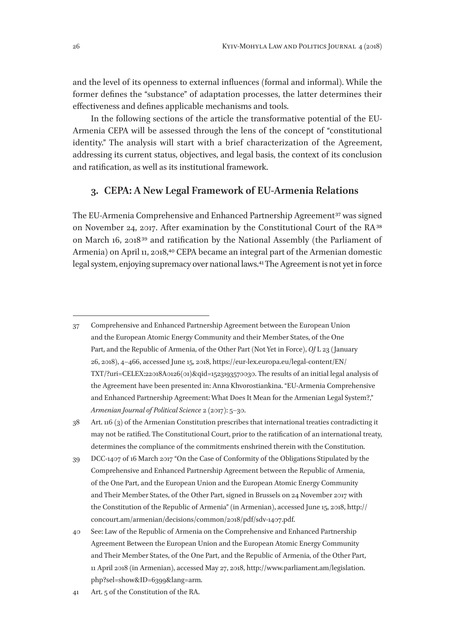and the level of its openness to external influences (formal and informal). While the former defines the "substance" of adaptation processes, the latter determines their effectiveness and defines applicable mechanisms and tools.

In the following sections of the article the transformative potential of the EU-Armenia CEPA will be assessed through the lens of the concept of "constitutional identity." The analysis will start with a brief characterization of the Agreement, addressing its current status, objectives, and legal basis, the context of its conclusion and ratification, as well as its institutional framework.

#### **3. CEPA: A New Legal Framework of EU-Armenia Relations**

The EU-Armenia Comprehensive and Enhanced Partnership Agreement<sup>37</sup> was signed on November 24, 2017. After examination by the Constitutional Court of the RA 38 on March 16, 2018 39 and ratification by the National Assembly (the Parliament of Armenia) on April 11, 2018,<sup>40</sup> CEPA became an integral part of the Armenian domestic legal system, enjoying supremacy over national laws.41 The Agreement is not yet in force

38 Art. 116 (3) of the Armenian Constitution prescribes that international treaties contradicting it may not be ratified. The Constitutional Court, prior to the ratification of an international treaty, determines the compliance of the commitments enshrined therein with the Constitution.

39 DCC-1407 of 16 March 2017 "On the Case of Conformity of the Obligations Stipulated by the Comprehensive and Enhanced Partnership Agreement between the Republic of Armenia, of the One Part, and the European Union and the European Atomic Energy Community and Their Member States, of the Other Part, signed in Brussels on 24 November 2017 with the Constitution of the Republic of Armenia" (in Armenian), accessed June 15, 2018, http:// concourt.am/armenian/decisions/common/2018/pdf/sdv‑1407.pdf.

41 Art. 5 of the Constitution of the RA.

<sup>37</sup> Comprehensive and Enhanced Partnership Agreement between the European Union and the European Atomic Energy Community and their Member States, of the One Part, and the Republic of Armenia, of the Other Part (Not Yet in Force), *OJ* L 23 (January 26, 2018), 4–466, accessed June 15, 2018, https://eur-lex.europa.eu/legal-content/EN/ TXT/?uri=CELEX:22018A0126(01)&qid=1523193570030. The results of an initial legal analysis of the Agreement have been presented in: Anna Khvorostiankina. "EU-Armenia Comprehensive and Enhanced Partnership Agreement: What Does It Mean for the Armenian Legal System?," *Armenian Journal of Political Science* 2 (2017): 5–30.

<sup>40</sup> See: Law of the Republic of Armenia on the Comprehensive and Enhanced Partnership Agreement Between the European Union and the European Atomic Energy Community and Their Member States, of the One Part, and the Republic of Armenia, of the Other Part, 11 April 2018 (in Armenian), accessed May 27, 2018, http://www.parliament.am/legislation. php?sel=show&ID=6399&lang=arm.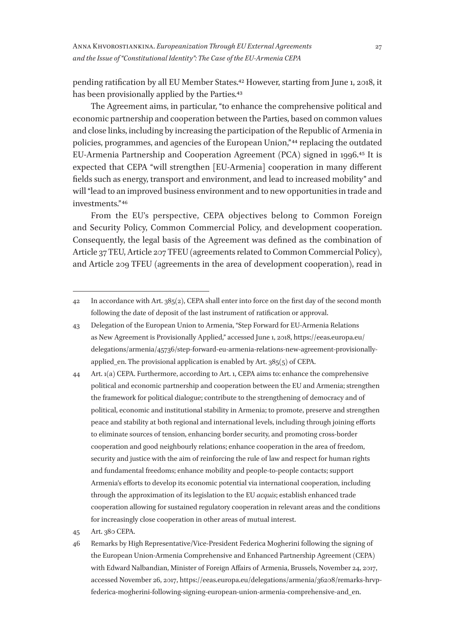pending ratification by all EU Member States.42 However, starting from June 1, 2018, it has been provisionally applied by the Parties.<sup>43</sup>

The Agreement aims, in particular, "to enhance the comprehensive political and economic partnership and cooperation between the Parties, based on common values and close links, including by increasing the participation of the Republic of Armenia in policies, programmes, and agencies of the European Union," 44 replacing the outdated EU-Armenia Partnership and Cooperation Agreement (PCA) signed in 1996.45 It is expected that CEPA "will strengthen [EU-Armenia] cooperation in many different fields such as energy, transport and environment, and lead to increased mobility" and will "lead to an improved business environment and to new opportunities in trade and investments." 46

From the EU's perspective, CEPA objectives belong to Common Foreign and Security Policy, Common Commercial Policy, and development cooperation. Consequently, the legal basis of the Agreement was defined as the combination of Article 37 TEU, Article 207 TFEU (agreements related to Common Commercial Policy), and Article 209 TFEU (agreements in the area of development cooperation), read in

<sup>42</sup> In accordance with Art. 385(2), CEPA shall enter into force on the first day of the second month following the date of deposit of the last instrument of ratification or approval.

<sup>43</sup> Delegation of the European Union to Armenia, "Step Forward for EU-Armenia Relations as New Agreement is Provisionally Applied," accessed June 1, 2018, https://eeas.europa.eu/ delegations/armenia/45736/step-forward-eu-armenia-relations-new-agreement-provisionallyapplied\_en. The provisional application is enabled by Art. 385(5) of CEPA.

<sup>44</sup> Art. 1(a) CEPA. Furthermore, according to Art. 1, CEPA aims to: enhance the comprehensive political and economic partnership and cooperation between the EU and Armenia; strengthen the framework for political dialogue; contribute to the strengthening of democracy and of political, economic and institutional stability in Armenia; to promote, preserve and strengthen peace and stability at both regional and international levels, including through joining efforts to eliminate sources of tension, enhancing border security, and promoting cross-border cooperation and good neighbourly relations; enhance cooperation in the area of freedom, security and justice with the aim of reinforcing the rule of law and respect for human rights and fundamental freedoms; enhance mobility and people-to-people contacts; support Armenia's efforts to develop its economic potential via international cooperation, including through the approximation of its legislation to the EU *acquis*; establish enhanced trade cooperation allowing for sustained regulatory cooperation in relevant areas and the conditions for increasingly close cooperation in other areas of mutual interest.

<sup>45</sup> Art. 380 CEPA.

<sup>46</sup> Remarks by High Representative/Vice-President Federica Mogherini following the signing of the European Union-Armenia Comprehensive and Enhanced Partnership Agreement (CEPA) with Edward Nalbandian, Minister of Foreign Affairs of Armenia, Brussels, November 24, 2017, accessed November 26, 2017, https://eeas.europa.eu/delegations/armenia/36208/remarks-hrvpfederica-mogherini-following-signing-european-union-armenia-comprehensive-and\_en.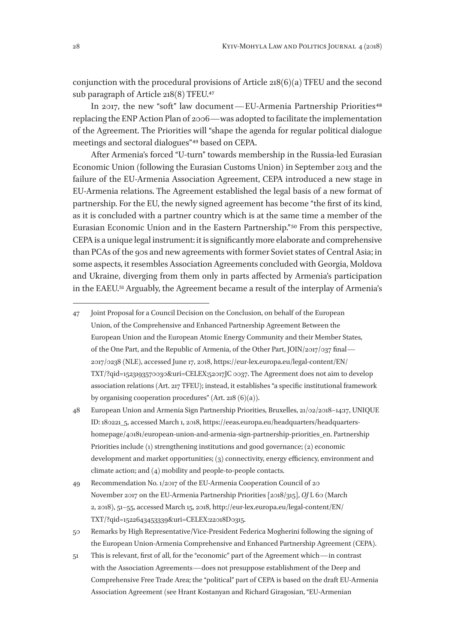conjunction with the procedural provisions of Article 218(6)(a) TFEU and the second sub paragraph of Article 218(8) TFEU.<sup>47</sup>

In 2017, the new "soft" law document—EU-Armenia Partnership Priorities<sup>48</sup> replacing the ENP Action Plan of 2006—was adopted to facilitate the implementation of the Agreement. The Priorities will "shape the agenda for regular political dialogue meetings and sectoral dialogues"<sup>49</sup> based on CEPA.

After Armenia's forced "U-turn" towards membership in the Russia-led Eurasian Economic Union (following the Eurasian Customs Union) in September 2013 and the failure of the EU-Armenia Association Agreement, CEPA introduced a new stage in EU-Armenia relations. The Agreement established the legal basis of a new format of partnership. For the EU, the newly signed agreement has become "the first of its kind, as it is concluded with a partner country which is at the same time a member of the Eurasian Economic Union and in the Eastern Partnership." 50 From this perspective, CEPA is a unique legal instrument: it is significantly more elaborate and comprehensive than PCAs of the 90s and new agreements with former Soviet states of Central Asia; in some aspects, it resembles Association Agreements concluded with Georgia, Moldova and Ukraine, diverging from them only in parts affected by Armenia's participation in the EAEU.51 Arguably, the Agreement became a result of the interplay of Armenia's

<sup>47</sup> Joint Proposal for a Council Decision on the Conclusion, on behalf of the European Union, of the Comprehensive and Enhanced Partnership Agreement Between the European Union and the European Atomic Energy Community and their Member States, of the One Part, and the Republic of Armenia, of the Other Part, JOIN/2017/037 final— 2017/0238 (NLE), accessed June 17, 2018, https://eur-lex.europa.eu/legal-content/EN/ TXT/?qid=1523193570030&uri=CELEX:52017JC 0037. The Agreement does not aim to develop association relations (Art. 217 TFEU); instead, it establishes "a specific institutional framework by organising cooperation procedures" (Art. 218  $(6)(a)$ ).

<sup>48</sup> European Union and Armenia Sign Partnership Priorities, Bruxelles, 21/02/2018–14:17, UNIQUE ID: 180221\_5, accessed March 1, 2018, https://eeas.europa.eu/headquarters/headquartershomepage/40181/european-union-and-armenia-sign-partnership-priorities\_en. Partnership Priorities include (1) strengthening institutions and good governance; (2) economic development and market opportunities; (3) connectivity, energy efficiency, environment and climate action; and (4) mobility and people-to-people contacts.

<sup>49</sup> Recommendation No. 1/2017 of the EU-Armenia Cooperation Council of 20 November 2017 on the EU-Armenia Partnership Priorities [2018/315], *OJ* L 60 (March 2, 2018), 51–55, accessed March 15, 2018, http://eur-lex.europa.eu/legal-content/EN/ TXT/?qid=1522643453339&uri=CELEX:22018D0315.

<sup>50</sup> Remarks by High Representative/Vice-President Federica Mogherini following the signing of the European Union-Armenia Comprehensive and Enhanced Partnership Agreement (CEPA).

<sup>51</sup> This is relevant, first of all, for the "economic" part of the Agreement which—in contrast with the Association Agreements—does not presuppose establishment of the Deep and Comprehensive Free Trade Area; the "political" part of CEPA is based on the draft EU-Armenia Association Agreement (see Hrant Kostanyan and Richard Giragosian, "EU-Armenian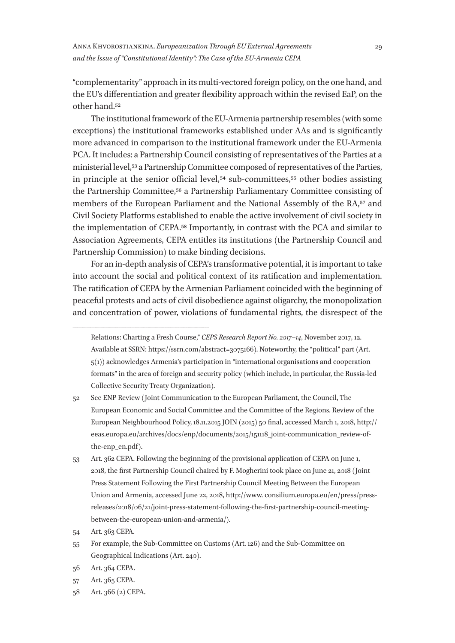"complementarity" approach in its multi-vectored foreign policy, on the one hand, and the EU's differentiation and greater flexibility approach within the revised EaP, on the other hand.52

The institutional framework of the EU-Armenia partnership resembles (with some exceptions) the institutional frameworks established under AAs and is significantly more advanced in comparison to the institutional framework under the EU-Armenia PCA. It includes: a Partnership Council consisting of representatives of the Parties at a ministerial level,53 a Partnership Committee composed of representatives of the Parties, in principle at the senior official level,<sup>54</sup> sub-committees,<sup>55</sup> other bodies assisting the Partnership Committee,56 a Partnership Parliamentary Committee consisting of members of the European Parliament and the National Assembly of the RA,<sup>57</sup> and Civil Society Platforms established to enable the active involvement of civil society in the implementation of CEPA.58 Importantly, in contrast with the PCA and similar to Association Agreements, CEPA entitles its institutions (the Partnership Council and Partnership Commission) to make binding decisions.

For an in-depth analysis of CEPA's transformative potential, it is important to take into account the social and political context of its ratification and implementation. The ratification of CEPA by the Armenian Parliament coincided with the beginning of peaceful protests and acts of civil disobedience against oligarchy, the monopolization and concentration of power, violations of fundamental rights, the disrespect of the

58 Art. 366 (2) CEPA.

Relations: Charting a Fresh Course," *CEPS Research Report No. 2017–14*, November 2017, 12. Available at SSRN: https://ssrn.com/abstract=3075166). Noteworthy, the "political" part (Art. 5(1)) acknowledges Armenia's participation in "international organisations and cooperation formats" in the area of foreign and security policy (which include, in particular, the Russia-led Collective Security Treaty Organization).

<sup>52</sup> See ENP Review (Joint Communication to the European Parliament, the Council, The European Economic and Social Committee and the Committee of the Regions. Review of the European Neighbourhood Policy, 18.11.2015 JOIN (2015) 50 final, accessed March 1, 2018, http:// eeas.europa.eu/archives/docs/enp/documents/2015/151118\_joint-communication\_review-ofthe-enp\_en.pdf).

<sup>53</sup> Art. 362 CEPA. Following the beginning of the provisional application of CEPA on June 1, 2018, the first Partnership Council chaired by F. Mogherini took place on June 21, 2018 (Joint Press Statement Following the First Partnership Council Meeting Between the European Union and Armenia, accessed June 22, 2018, http://www. consilium.europa.eu/en/press/pressreleases/2018/06/21/joint-press-statement-following-the-first-partnership-council-meetingbetween-the-european-union-and-armenia/).

<sup>54</sup> Art. 363 CEPA.

<sup>55</sup> For example, the Sub-Committee on Customs (Art. 126) and the Sub-Committee on Geographical Indications (Art. 240).

<sup>56</sup> Art. 364 CEPA.

<sup>57</sup> Art. 365 CEPA.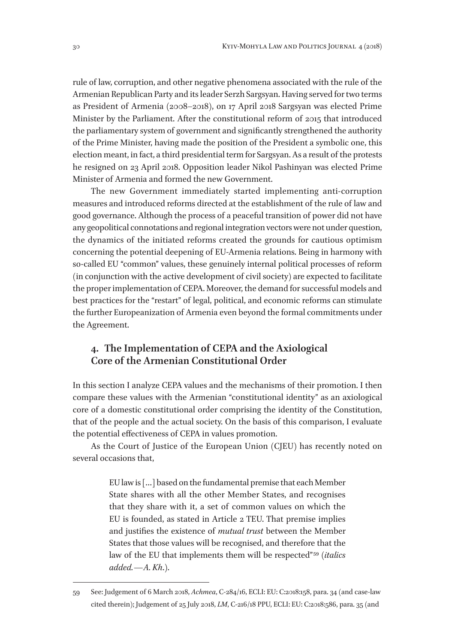rule of law, corruption, and other negative phenomena associated with the rule of the Armenian Republican Party and its leader Serzh Sargsyan. Having served for two terms as President of Armenia (2008–2018), on 17 April 2018 Sargsyan was elected Prime Minister by the Parliament. After the constitutional reform of 2015 that introduced the parliamentary system of government and significantly strengthened the authority of the Prime Minister, having made the position of the President a symbolic one, this election meant, in fact, a third presidential term for Sargsyan. As a result of the protests he resigned on 23 April 2018. Opposition leader Nikol Pashinyan was elected Prime Minister of Armenia and formed the new Government.

The new Government immediately started implementing anti-corruption measures and introduced reforms directed at the establishment of the rule of law and good governance. Although the process of a peaceful transition of power did not have any geopolitical connotations and regional integration vectors were not under question, the dynamics of the initiated reforms created the grounds for cautious optimism concerning the potential deepening of EU-Armenia relations. Being in harmony with so-called EU "common" values, these genuinely internal political processes of reform (in conjunction with the active development of civil society) are expected to facilitate the proper implementation of CEPA. Moreover, the demand for successful models and best practices for the "restart" of legal, political, and economic reforms can stimulate the further Europeanization of Armenia even beyond the formal commitments under the Agreement.

### **4. The Implementation of CEPA and the Axiological Core of the Armenian Constitutional Order**

In this section I analyze CEPA values and the mechanisms of their promotion. I then compare these values with the Armenian "constitutional identity" as an axiological core of a domestic constitutional order comprising the identity of the Constitution, that of the people and the actual society. On the basis of this comparison, I evaluate the potential effectiveness of CEPA in values promotion.

As the Court of Justice of the European Union (CJEU) has recently noted on several occasions that,

> EU law is […] based on the fundamental premise that each Member State shares with all the other Member States, and recognises that they share with it, a set of common values on which the EU is founded, as stated in Article 2 TEU. That premise implies and justifies the existence of *mutual trust* between the Member States that those values will be recognised, and therefore that the law of the EU that implements them will be respected" 59 (*italics added.—A. Kh*.).

<sup>59</sup> See: Judgement of 6 March 2018, *Achmea*, C‑284/16, ECLI: EU: C:2018:158, para. 34 (and case-law cited therein); Judgement of 25 July 2018, *LM*, C‑216/18 PPU, ECLI: EU: C:2018:586, para. 35 (and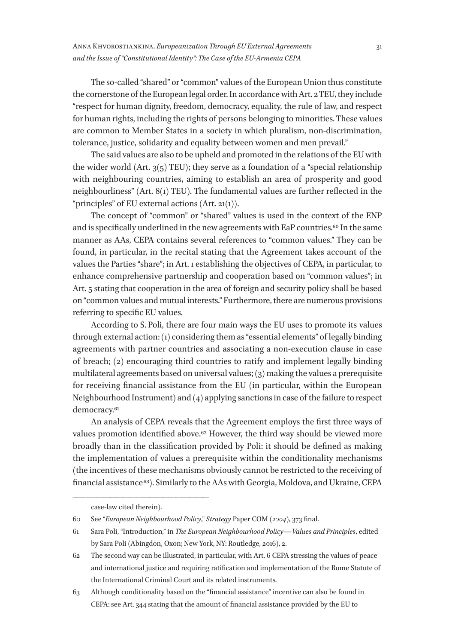The so-called "shared" or "common" values of the European Union thus constitute the cornerstone of the European legal order. In accordance with Art. 2 TEU, they include "respect for human dignity, freedom, democracy, equality, the rule of law, and respect for human rights, including the rights of persons belonging to minorities. These values are common to Member States in a society in which pluralism, non-discrimination, tolerance, justice, solidarity and equality between women and men prevail."

The said values are also to be upheld and promoted in the relations of the EU with the wider world (Art.  $3(5)$  TEU); they serve as a foundation of a "special relationship with neighbouring countries, aiming to establish an area of prosperity and good neighbourliness" (Art. 8(1) TEU). The fundamental values are further reflected in the "principles" of EU external actions  $(Art. 21(1)).$ 

The concept of "common" or "shared" values is used in the context of the ENP and is specifically underlined in the new agreements with EaP countries.<sup>60</sup> In the same manner as AAs, CEPA contains several references to "common values." They can be found, in particular, in the recital stating that the Agreement takes account of the values the Parties "share"; in Art. 1 establishing the objectives of CEPA, in particular, to enhance comprehensive partnership and cooperation based on "common values"; in Art. 5 stating that cooperation in the area of foreign and security policy shall be based on "common values and mutual interests." Furthermore, there are numerous provisions referring to specific EU values.

According to S. Poli, there are four main ways the EU uses to promote its values through external action: (1) considering them as "essential elements" of legally binding agreements with partner countries and associating a non-execution clause in case of breach; (2) encouraging third countries to ratify and implement legally binding multilateral agreements based on universal values; (3) making the values a prerequisite for receiving financial assistance from the EU (in particular, within the European Neighbourhood Instrument) and (4) applying sanctions in case of the failure to respect democracy.<sup>61</sup>

An analysis of CEPA reveals that the Agreement employs the first three ways of values promotion identified above.<sup>62</sup> However, the third way should be viewed more broadly than in the classification provided by Poli: it should be defined as making the implementation of values a prerequisite within the conditionality mechanisms (the incentives of these mechanisms obviously cannot be restricted to the receiving of financial assistance 63). Similarly to the AAs with Georgia, Moldova, and Ukraine, CEPA

case-law cited therein).

<sup>60</sup> See "*European Neighbourhood Policy*," *Strategy* Paper COM (*2004*), 373 final.

<sup>61</sup> Sara Poli, "Introduction," in *The European Neighbourhood Policy—Values and Principles*, edited by Sara Poli (Abingdon, Oxon; New York, NY: Routledge, 2016), 2.

<sup>62</sup> The second way can be illustrated, in particular, with Art. 6 CEPA stressing the values of peace and international justice and requiring ratification and implementation of the Rome Statute of the International Criminal Court and its related instruments.

<sup>63</sup> Although conditionality based on the "financial assistance" incentive can also be found in CEPA: see Art. 344 stating that the amount of financial assistance provided by the EU to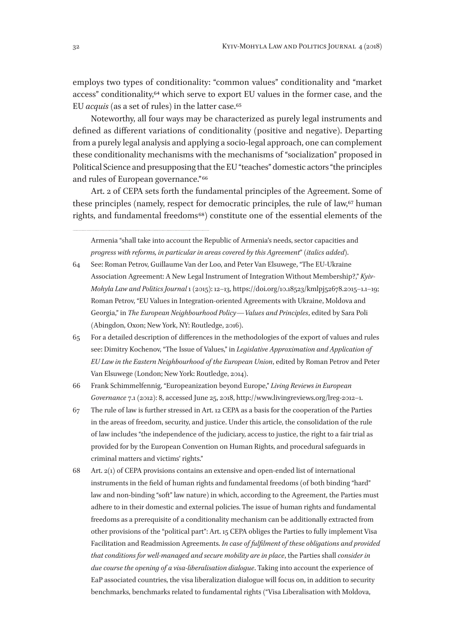employs two types of conditionality: "common values" conditionality and "market access" conditionality,64 which serve to export EU values in the former case, and the EU *acquis* (as a set of rules) in the latter case.65

Noteworthy, all four ways may be characterized as purely legal instruments and defined as different variations of conditionality (positive and negative). Departing from a purely legal analysis and applying a socio-legal approach, one can complement these conditionality mechanisms with the mechanisms of "socialization" proposed in Political Science and presupposing that the EU "teaches" domestic actors "the principles and rules of European governance." 66

Art. 2 of CEPA sets forth the fundamental principles of the Agreement. Some of these principles (namely, respect for democratic principles, the rule of law, $67$  human rights, and fundamental freedoms 68) constitute one of the essential elements of the

- 64 See: Roman Petrov, Guillaume Van der Loo, and Peter Van Elsuwege, "The EU-Ukraine Association Agreement: A New Legal Instrument of Integration Without Membership?," *Kyiv-Mohyla Law and Politics Journal* 1 (2015): 12–13, https://doi.org/10.18523/kmlpj52678.2015–1.1–19; Roman Petrov, "EU Values in Integration-oriented Agreements with Ukraine, Moldova and Georgia," in *The European Neighbourhood Policy—Values and Principles*, edited by Sara Poli (Abingdon, Oxon; New York, NY: Routledge, 2016).
- 65 For a detailed description of differences in the methodologies of the export of values and rules see: Dimitry Kochenov, "The Issue of Values," in *Legislative Approximation and Application of EU Law in the Eastern Neighbourhood of the European Union*, edited by Roman Petrov and Peter Van Elsuwege (London; New York: Routledge, 2014).

66 Frank Schimmelfennig, "Europeanization beyond Europe," *Living Reviews in European Governance* 7.1 (2012): 8, accessed June 25, 2018, http://www.livingreviews.org/lreg-2012-1.

- 67 The rule of law is further stressed in Art. 12 CEPA as a basis for the cooperation of the Parties in the areas of freedom, security, and justice. Under this article, the consolidation of the rule of law includes "the independence of the judiciary, access to justice, the right to a fair trial as provided for by the European Convention on Human Rights, and procedural safeguards in criminal matters and victims' rights."
- 68 Art. 2(1) of CEPA provisions contains an extensive and open-ended list of international instruments in the field of human rights and fundamental freedoms (of both binding "hard" law and non-binding "soft" law nature) in which, according to the Agreement, the Parties must adhere to in their domestic and external policies. The issue of human rights and fundamental freedoms as a prerequisite of a conditionality mechanism can be additionally extracted from other provisions of the "political part": Art. 15 CEPA obliges the Parties to fully implement Visa Facilitation and Readmission Agreements. *In case of fulfilment of these obligations and provided that conditions for well-managed and secure mobility are in place*, the Parties shall *consider in due course the opening of a visa-liberalisation dialogue*. Taking into account the experience of EaP associated countries, the visa liberalization dialogue will focus on, in addition to security benchmarks, benchmarks related to fundamental rights ("Visa Liberalisation with Moldova,

Armenia "shall take into account the Republic of Armenia's needs, sector capacities and *progress with reforms, in particular in areas covered by this Agreement*" (*italics added*).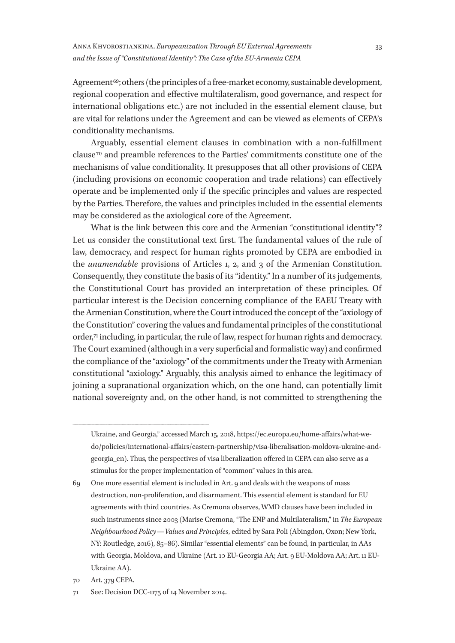Agreement<sup>69</sup>; others (the principles of a free-market economy, sustainable development, regional cooperation and effective multilateralism, good governance, and respect for international obligations etc.) are not included in the essential element clause, but are vital for relations under the Agreement and can be viewed as elements of CEPA's conditionality mechanisms.

Arguably, essential element clauses in combination with a non-fulfillment clause 70 and preamble references to the Parties' commitments constitute one of the mechanisms of value conditionality. It presupposes that all other provisions of CEPA (including provisions on economic cooperation and trade relations) can effectively operate and be implemented only if the specific principles and values are respected by the Parties. Therefore, the values and principles included in the essential elements may be considered as the axiological core of the Agreement.

What is the link between this core and the Armenian "constitutional identity"? Let us consider the constitutional text first. The fundamental values of the rule of law, democracy, and respect for human rights promoted by CEPA are embodied in the *unamendable* provisions of Articles 1, 2, and 3 of the Armenian Constitution. Consequently, they constitute the basis of its "identity." In a number of its judgements, the Constitutional Court has provided an interpretation of these principles. Of particular interest is the Decision concerning compliance of the EAEU Treaty with the Armenian Constitution, where the Court introduced the concept of the "axiology of the Constitution" covering the values and fundamental principles of the constitutional order,<sup>71</sup> including, in particular, the rule of law, respect for human rights and democracy. The Court examined (although in a very superficial and formalistic way) and confirmed the compliance of the "axiology" of the commitments under the Treaty with Armenian constitutional "axiology." Arguably, this analysis aimed to enhance the legitimacy of joining a supranational organization which, on the one hand, can potentially limit national sovereignty and, on the other hand, is not committed to strengthening the

Ukraine, and Georgia," accessed March 15, 2018, https://ec.europa.eu/home-affairs/what-wedo/policies/international-affairs/eastern-partnership/visa-liberalisation-moldova-ukraine-andgeorgia\_en). Thus, the perspectives of visa liberalization offered in CEPA can also serve as a stimulus for the proper implementation of "common" values in this area.

<sup>69</sup> One more essential element is included in Art. 9 and deals with the weapons of mass destruction, non-proliferation, and disarmament. This essential element is standard for EU agreements with third countries. As Cremona observes, WMD clauses have been included in such instruments since 2003 (Marise Cremona, "The ENP and Multilateralism," in *The European Neighbourhood Policy—Values and Principles*, edited by Sara Poli (Abingdon, Oxon; New York, NY: Routledge, 2016), 85–86). Similar "essential elements" can be found, in particular, in AAs with Georgia, Moldova, and Ukraine (Art. 10 EU-Georgia AA; Art. 9 EU-Moldova AA; Art. 11 EU-Ukraine AA).

<sup>70</sup> Art. 379 CEPA.

<sup>71</sup> See: Decision DCC-1175 of 14 November 2014.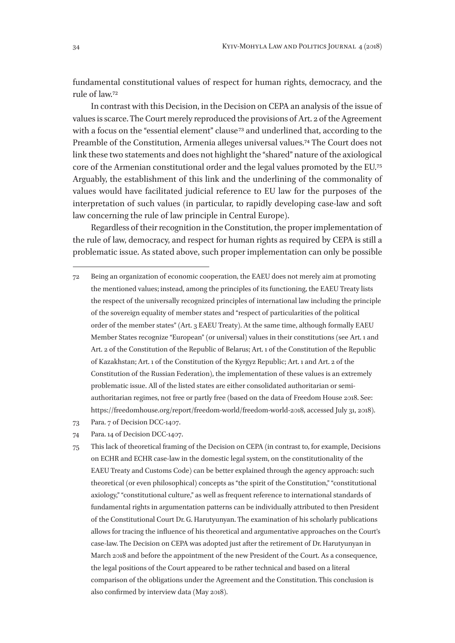fundamental constitutional values of respect for human rights, democracy, and the rule of law.72

In contrast with this Decision, in the Decision on CEPA an analysis of the issue of values is scarce. The Court merely reproduced the provisions of Art. 2 of the Agreement with a focus on the "essential element" clause<sup>73</sup> and underlined that, according to the Preamble of the Constitution, Armenia alleges universal values.74 The Court does not link these two statements and does not highlight the "shared" nature of the axiological core of the Armenian constitutional order and the legal values promoted by the EU.75 Arguably, the establishment of this link and the underlining of the commonality of values would have facilitated judicial reference to EU law for the purposes of the interpretation of such values (in particular, to rapidly developing case-law and soft law concerning the rule of law principle in Central Europe).

Regardless of their recognition in the Constitution, the proper implementation of the rule of law, democracy, and respect for human rights as required by CEPA is still a problematic issue. As stated above, such proper implementation can only be possible

- 72 Being an organization of economic cooperation, the EAEU does not merely aim at promoting the mentioned values; instead, among the principles of its functioning, the EAEU Treaty lists the respect of the universally recognized principles of international law including the principle of the sovereign equality of member states and "respect of particularities of the political order of the member states" (Art. 3 EAEU Treaty). At the same time, although formally EAEU Member States recognize "European" (or universal) values in their constitutions (see Art. 1 and Art. 2 of the Constitution of the Republic of Belarus; Art. 1 of the Constitution of the Republic of Kazakhstan; Art. 1 of the Constitution of the Kyrgyz Republic; Art. 1 and Art. 2 of the Constitution of the Russian Federation), the implementation of these values is an extremely problematic issue. All of the listed states are either consolidated authoritarian or semiauthoritarian regimes, not free or partly free (based on the data of Freedom House 2018. See: https://freedomhouse.org/report/freedom-world/freedom-world-2018, accessed July 31, 2018).
- 73 Para. 7 of Decision DCC-1407.
- 74 Para. 14 of Decision DCC-1407.
- 75 This lack of theoretical framing of the Decision on CEPA (in contrast to, for example, Decisions on ECHR and ECHR case-law in the domestic legal system, on the constitutionality of the EAEU Treaty and Customs Code) can be better explained through the agency approach: such theoretical (or even philosophical) concepts as "the spirit of the Constitution," "constitutional axiology," "constitutional culture," as well as frequent reference to international standards of fundamental rights in argumentation patterns can be individually attributed to then President of the Constitutional Court Dr. G. Harutyunyan. The examination of his scholarly publications allows for tracing the influence of his theoretical and argumentative approaches on the Court's case-law. The Decision on CEPA was adopted just after the retirement of Dr. Harutyunyan in March 2018 and before the appointment of the new President of the Court. As a consequence, the legal positions of the Court appeared to be rather technical and based on a literal comparison of the obligations under the Agreement and the Constitution. This conclusion is also confirmed by interview data (May 2018).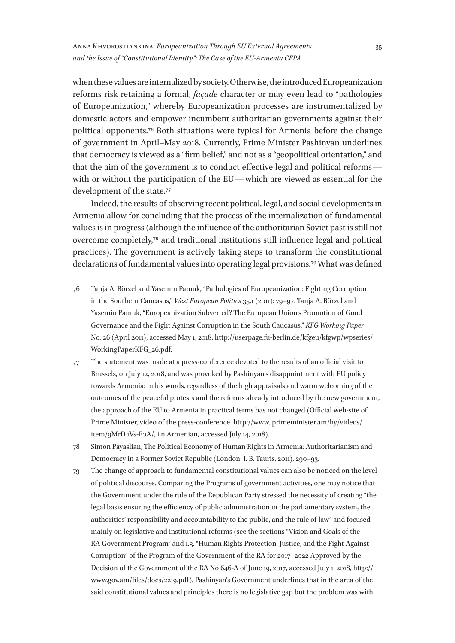when these values are internalized by society. Otherwise, the introduced Europeanization reforms risk retaining a formal, *façade* character or may even lead to "pathologies of Europeanization," whereby Europeanization processes are instrumentalized by domestic actors and empower incumbent authoritarian governments against their political opponents.76 Both situations were typical for Armenia before the change of government in April–May 2018. Currently, Prime Minister Pashinyan underlines that democracy is viewed as a "firm belief," and not as a "geopolitical orientation," and that the aim of the government is to conduct effective legal and political reforms with or without the participation of the EU—which are viewed as essential for the development of the state.<sup>77</sup>

Indeed, the results of observing recent political, legal, and social developments in Armenia allow for concluding that the process of the internalization of fundamental values is in progress (although the influence of the authoritarian Soviet past is still not overcome completely,78 and traditional institutions still influence legal and political practices). The government is actively taking steps to transform the constitutional declarations of fundamental values into operating legal provisions.79 What was defined

- 76 Tanja A. Börzel and Yasemin Pamuk, "Pathologies of Europeanization: Fighting Corruption in the Southern Caucasus," *West European Politics* 35.1 (2011): 79–97. Tanja A. Börzel and Yasemin Pamuk, "Europeanization Subverted? The European Union's Promotion of Good Governance and the Fight Against Corruption in the South Caucasus," *KFG Working Paper* No. 26 (April 2011), accessed May 1, 2018, http://userpage.fu-berlin.de/kfgeu/kfgwp/wpseries/ WorkingPaperKFG\_26.pdf.
- 77 The statement was made at a press-conference devoted to the results of an official visit to Brussels, on July 12, 2018, and was provoked by Pashinyan's disappointment with EU policy towards Armenia: in his words, regardless of the high appraisals and warm welcoming of the outcomes of the peaceful protests and the reforms already introduced by the new government, the approach of the EU to Armenia in practical terms has not changed (Official web-site of Prime Minister, video of the press-conference. http://www. primeminister.am/hy/videos/ item/9MrD 1Vs-F0A/, i n Armenian, accessed July 14, 2018).
- 78 Simon Payaslian, The Political Economy of Human Rights in Armenia*:* Authoritarianism and Democracy in a Former Soviet Republic (London: I. B. Tauris, 2011), 290–93.
- 79 The change of approach to fundamental constitutional values can also be noticed on the level of political discourse. Comparing the Programs of government activities, one may notice that the Government under the rule of the Republican Party stressed the necessity of creating "the legal basis ensuring the efficiency of public administration in the parliamentary system, the authorities' responsibility and accountability to the public, and the rule of law" and focused mainly on legislative and institutional reforms (see the sections "Vision and Goals of the RA Government Program" and 1.3. "Human Rights Protection, Justice, and the Fight Against Corruption" of the Program of the Government of the RA for 2017–2022 Approved by the Decision of the Government of the RA No 646-A of June 19, 2017, accessed July 1, 2018, http:// www.gov.am/files/docs/2219.pdf). Pashinyan's Government underlines that in the area of the said constitutional values and principles there is no legislative gap but the problem was with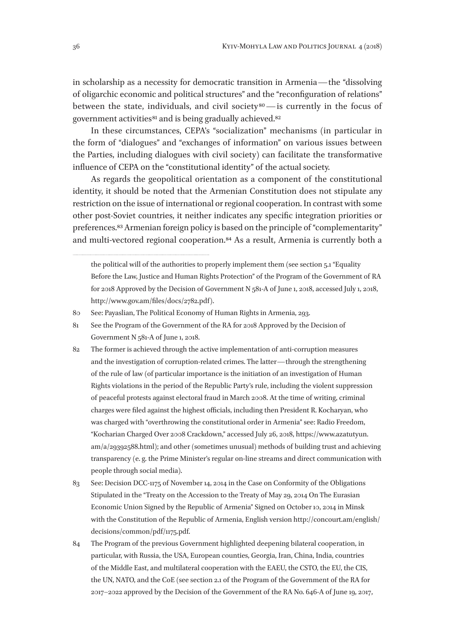in scholarship as a necessity for democratic transition in Armenia—the "dissolving of oligarchic economic and political structures" and the "reconfiguration of relations" between the state, individuals, and civil society<sup>80</sup>—is currently in the focus of government activities<sup>81</sup> and is being gradually achieved.<sup>82</sup>

In these circumstances, CEPA's "socialization" mechanisms (in particular in the form of "dialogues" and "exchanges of information" on various issues between the Parties, including dialogues with civil society) can facilitate the transformative influence of CEPA on the "constitutional identity" of the actual society.

As regards the geopolitical orientation as a component of the constitutional identity, it should be noted that the Armenian Constitution does not stipulate any restriction on the issue of international or regional cooperation. In contrast with some other post-Soviet countries, it neither indicates any specific integration priorities or preferences.83 Armenian foreign policy is based on the principle of "complementarity" and multi-vectored regional cooperation.84 As a result, Armenia is currently both a

80 See: Payaslian, The Political Economy of Human Rights in Armenia, 293.

84 The Program of the previous Government highlighted deepening bilateral cooperation, in particular, with Russia, the USA, European counties, Georgia, Iran, China, India, countries of the Middle East, and multilateral cooperation with the EAEU, the CSTO, the EU, the CIS, the UN, NATO, and the CoE (see section 2.1 of the Program of the Government of the RA for 2017–2022 approved by the Decision of the Government of the RA No. 646-A of June 19, 2017,

the political will of the authorities to properly implement them (see section 5.1 "Equality Before the Law, Justice and Human Rights Protection" of the Program of the Government of RA for 2018 Approved by the Decision of Government N 581-A of June 1, 2018, accessed July 1, 2018, http://www.gov.am/files/docs/2782.pdf).

<sup>81</sup> See the Program of the Government of the RA for 2018 Approved by the Decision of Government N 581-A of June 1, 2018.

<sup>82</sup> The former is achieved through the active implementation of anti-corruption measures and the investigation of corruption-related crimes. The latter—through the strengthening of the rule of law (of particular importance is the initiation of an investigation of Human Rights violations in the period of the Republic Party's rule, including the violent suppression of peaceful protests against electoral fraud in March 2008. At the time of writing, criminal charges were filed against the highest officials, including then President R. Kocharyan, who was charged with "overthrowing the constitutional order in Armenia" see: Radio Freedom, "Kocharian Charged Over 2008 Crackdown," accessed July 26, 2018, https://www.azatutyun. am/a/29392588.html); and other (sometimes unusual) methods of building trust and achieving transparency (e. g. the Prime Minister's regular on-line streams and direct communication with people through social media).

<sup>83</sup> See: Decision DCC-1175 of November 14, 2014 in the Case on Conformity of the Obligations Stipulated in the "Treaty on the Accession to the Treaty of May 29, 2014 On The Eurasian Economic Union Signed by the Republic of Armenia" Signed on October 10, 2014 in Minsk with the Constitution of the Republic of Armenia, English version http://concourt.am/english/ decisions/common/pdf/1175.pdf.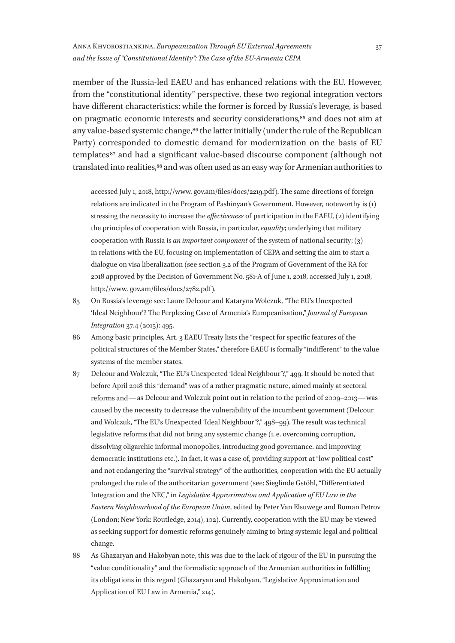Anna Khvorostiankina. *Europeanization Through EU External Agreements and the Issue of "Constitutional Identity": The Case of the EU-Armenia CEPA*

member of the Russia-led EAEU and has enhanced relations with the EU. However, from the "constitutional identity" perspective, these two regional integration vectors have different characteristics: while the former is forced by Russia's leverage, is based on pragmatic economic interests and security considerations,85 and does not aim at any value-based systemic change,<sup>86</sup> the latter initially (under the rule of the Republican Party) corresponded to domestic demand for modernization on the basis of EU templates 87 and had a significant value-based discourse component (although not translated into realities,<sup>88</sup> and was often used as an easy way for Armenian authorities to

- 85 On Russia's leverage see: Laure Delcour and Kataryna Wolczuk, "The EU's Unexpected 'Ideal Neighbour'? The Perplexing Case of Armenia's Europeanisation," *Journal of European Integration* 37.4 (2015): 495.
- 86 Among basic principles, Art. 3 EAEU Treaty lists the "respect for specific features of the political structures of the Member States," therefore EAEU is formally "indifferent" to the value systems of the member states.
- 87 Delcour and Wolczuk, "The EU's Unexpected 'Ideal Neighbour'?," 499. It should be noted that before April 2018 this "demand" was of a rather pragmatic nature, aimed mainly at sectoral reforms and—as Delcour and Wolczuk point out in relation to the period of 2009–2013—was caused by the necessity to decrease the vulnerability of the incumbent government (Delcour and Wolczuk, "The EU's Unexpected 'Ideal Neighbour'?," 498–99). The result was technical legislative reforms that did not bring any systemic change (i. e. overcoming corruption, dissolving oligarchic informal monopolies, introducing good governance. and improving democratic institutions etc.). In fact, it was a case of, providing support at "low political cost" and not endangering the "survival strategy" of the authorities, cooperation with the EU actually prolonged the rule of the authoritarian government (see: Sieglinde Gstöhl, "Differentiated Integration and the NEC," in *Legislative Approximation and Application of EU Law in the Eastern Neighbourhood of the European Union*, edited by Peter Van Elsuwege and Roman Petrov (London; New York: Routledge, 2014), 102). Currently, cooperation with the EU may be viewed as seeking support for domestic reforms genuinely aiming to bring systemic legal and political change.
- 88 As Ghazaryan and Hakobyan note, this was due to the lack of rigour of the EU in pursuing the "value conditionality" and the formalistic approach of the Armenian authorities in fulfilling its obligations in this regard (Ghazaryan and Hakobyan, "Legislative Approximation and Application of EU Law in Armenia," 214).

accessed July 1, 2018, http://www. gov.am/files/docs/2219.pdf). The same directions of foreign relations are indicated in the Program of Pashinyan's Government. However, noteworthy is (1) stressing the necessity to increase the *effectiveness* of participation in the EAEU, (2) identifying the principles of cooperation with Russia, in particular, *equality*; underlying that military cooperation with Russia is *an important component* of the system of national security; (3) in relations with the EU, focusing on implementation of CEPA and setting the aim to start a dialogue on visa liberalization (see section 3.2 of the Program of Government of the RA for 2018 approved by the Decision of Government No. 581-A of June 1, 2018, accessed July 1, 2018, http://www. gov.am/files/docs/2782.pdf).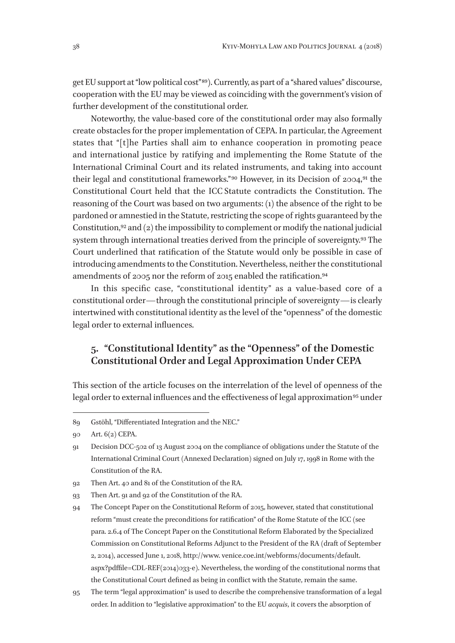get EU support at "low political cost" 89). Currently, as part of a "shared values" discourse, cooperation with the EU may be viewed as coinciding with the government's vision of further development of the constitutional order.

Noteworthy, the value-based core of the constitutional order may also formally create obstacles for the proper implementation of CEPA. In particular, the Agreement states that "[t]he Parties shall aim to enhance cooperation in promoting peace and international justice by ratifying and implementing the Rome Statute of the International Criminal Court and its related instruments, and taking into account their legal and constitutional frameworks." 90 However, in its Decision of 2004,91 the Constitutional Court held that the ICC Statute contradicts the Constitution. The reasoning of the Court was based on two arguments: (1) the absence of the right to be pardoned or amnestied in the Statute, restricting the scope of rights guaranteed by the Constitution,<sup>92</sup> and  $(2)$  the impossibility to complement or modify the national judicial system through international treaties derived from the principle of sovereignty.<sup>93</sup> The Court underlined that ratification of the Statute would only be possible in case of introducing amendments to the Constitution. Nevertheless, neither the constitutional amendments of 2005 nor the reform of 2015 enabled the ratification.<sup>94</sup>

In this specific case, "constitutional identity" as a value-based core of a constitutional order—through the constitutional principle of sovereignty—is clearly intertwined with constitutional identity as the level of the "openness" of the domestic legal order to external influences.

### **5. "Constitutional Identity" as the "Openness" of the Domestic Constitutional Order and Legal Approximation Under CEPA**

This section of the article focuses on the interrelation of the level of openness of the legal order to external influences and the effectiveness of legal approximation<sup>95</sup> under

- 92 Then Art. 40 and 81 of the Constitution of the RA.
- 93 Then Art. 91 and 92 of the Constitution of the RA.
- 94 The Concept Paper on the Constitutional Reform of 2015, however, stated that constitutional reform "must create the preconditions for ratification" of the Rome Statute of the ICC (see para. 2.6.4 of The Concept Paper on the Constitutional Reform Elaborated by the Specialized Commission on Constitutional Reforms Adjunct to the President of the RA (draft of September 2, 2014), accessed June 1, 2018, http://www. venice.coe.int/webforms/documents/default. aspx?pdffile=CDL-REF(2014)033-e). Nevertheless, the wording of the constitutional norms that the Constitutional Court defined as being in conflict with the Statute, remain the same.
- 95 The term "legal approximation" is used to describe the comprehensive transformation of a legal order. In addition to "legislative approximation" to the EU *acquis*, it covers the absorption of

<sup>89</sup> Gstöhl, "Differentiated Integration and the NEC."

<sup>90</sup> Art. 6(2) CEPA.

<sup>91</sup> Decision DCC-502 of 13 August 2004 on the compliance of obligations under the Statute of the International Criminal Court (Annexed Declaration) signed on July 17, 1998 in Rome with the Constitution of the RA.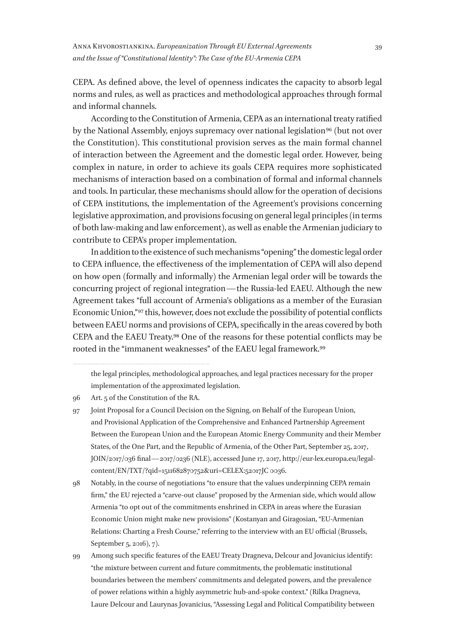CEPA. As defined above, the level of openness indicates the capacity to absorb legal norms and rules, as well as practices and methodological approaches through formal and informal channels.

According to the Constitution of Armenia, CEPA as an international treaty ratified by the National Assembly, enjoys supremacy over national legislation<sup>96</sup> (but not over the Constitution). This constitutional provision serves as the main formal channel of interaction between the Agreement and the domestic legal order. However, being complex in nature, in order to achieve its goals CEPA requires more sophisticated mechanisms of interaction based on a combination of formal and informal channels and tools. In particular, these mechanisms should allow for the operation of decisions of CEPA institutions, the implementation of the Agreement's provisions concerning legislative approximation, and provisions focusing on general legal principles (in terms of both law-making and law enforcement), as well as enable the Armenian judiciary to contribute to CEPA's proper implementation.

In addition to the existence of such mechanisms "opening" the domestic legal order to CEPA influence, the effectiveness of the implementation of CEPA will also depend on how open (formally and informally) the Armenian legal order will be towards the concurring project of regional integration—the Russia-led EAEU. Although the new Agreement takes "full account of Armenia's obligations as a member of the Eurasian Economic Union,"<sup>97</sup> this, however, does not exclude the possibility of potential conflicts between EAEU norms and provisions of CEPA, specifically in the areas covered by both CEPA and the EAEU Treaty.98 One of the reasons for these potential conflicts may be rooted in the "immanent weaknesses" of the EAEU legal framework.99

the legal principles, methodological approaches, and legal practices necessary for the proper implementation of the approximated legislation.

<sup>96</sup> Art. 5 of the Constitution of the RA.

<sup>97</sup> Joint Proposal for a Council Decision on the Signing, on Behalf of the European Union, and Provisional Application of the Comprehensive and Enhanced Partnership Agreement Between the European Union and the European Atomic Energy Community and their Member States, of the One Part, and the Republic of Armenia, of the Other Part, September 25, 2017, JOIN/2017/036 final—2017/0236 (NLE), accessed June 17, 2017, http://eur-lex.europa.eu/legalcontent/EN/TXT/?qid=1511682870752&uri=CELEX:52017JC 0036.

<sup>98</sup> Notably, in the course of negotiations "to ensure that the values underpinning CEPA remain firm," the EU rejected a "carve-out clause" proposed by the Armenian side, which would allow Armenia "to opt out of the commitments enshrined in CEPA in areas where the Eurasian Economic Union might make new provisions" (Kostanyan and Giragosian, "EU-Armenian Relations: Charting a Fresh Course," referring to the interview with an EU official (Brussels, September 5, 2016), 7).

<sup>99</sup> Among such specific features of the EAEU Treaty Dragneva, Delcour and Jovanicius identify: "the mixture between current and future commitments, the problematic institutional boundaries between the members' commitments and delegated powers, and the prevalence of power relations within a highly asymmetric hub-and-spoke context." (Rilka Dragneva, Laure Delcour and Laurynas Jovanicius, "Assessing Legal and Political Compatibility between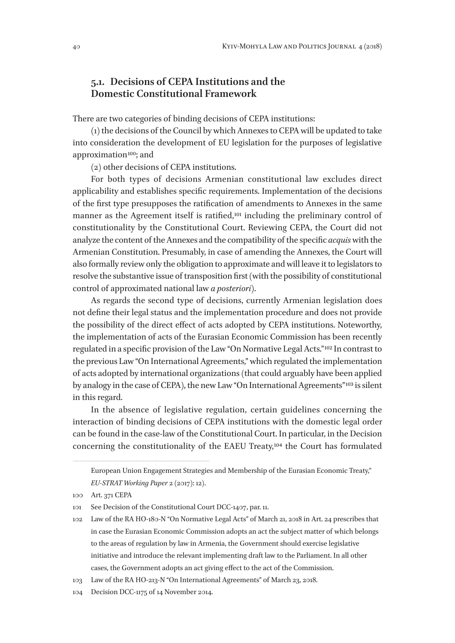#### **5.1. Decisions of CEPA Institutions and the Domestic Constitutional Framework**

There are two categories of binding decisions of CEPA institutions:

(1) the decisions of the Council by which Annexes to CEPA will be updated to take into consideration the development of EU legislation for the purposes of legislative approximation 100; and

(2) other decisions of CEPA institutions.

For both types of decisions Armenian constitutional law excludes direct applicability and establishes specific requirements. Implementation of the decisions of the first type presupposes the ratification of amendments to Annexes in the same manner as the Agreement itself is ratified,101 including the preliminary control of constitutionality by the Constitutional Court. Reviewing CEPA, the Court did not analyze the content of the Annexes and the compatibility of the specific *acquis* with the Armenian Constitution. Presumably, in case of amending the Annexes, the Court will also formally review only the obligation to approximate and will leave it to legislators to resolve the substantive issue of transposition first (with the possibility of constitutional control of approximated national law *a posteriori*).

As regards the second type of decisions, currently Armenian legislation does not define their legal status and the implementation procedure and does not provide the possibility of the direct effect of acts adopted by CEPA institutions. Noteworthy, the implementation of acts of the Eurasian Economic Commission has been recently regulated in a specific provision of the Law "On Normative Legal Acts." 102 In contrast to the previous Law "On International Agreements," which regulated the implementation of acts adopted by international organizations (that could arguably have been applied by analogy in the case of CEPA), the new Law "On International Agreements" 103 is silent in this regard.

In the absence of legislative regulation, certain guidelines concerning the interaction of binding decisions of CEPA institutions with the domestic legal order can be found in the case-law of the Constitutional Court. In particular, in the Decision concerning the constitutionality of the EAEU Treaty,104 the Court has formulated

European Union Engagement Strategies and Membership of the Eurasian Economic Treaty," *EU-STRAT Working Paper* 2 (2017): 12).

<sup>100</sup> Art. 371 CEPA

<sup>101</sup> See Decision of the Constitutional Court DCC-1407, par. 11.

<sup>102</sup> Law of the RA HO-180-N "On Normative Legal Acts" of March 21, 2018 in Art. 24 prescribes that in case the Eurasian Economic Commission adopts an act the subject matter of which belongs to the areas of regulation by law in Armenia, the Government should exercise legislative initiative and introduce the relevant implementing draft law to the Parliament. In all other cases, the Government adopts an act giving effect to the act of the Commission.

<sup>103</sup> Law of the RA HO-213-N "On International Agreements" of March 23, 2018.

<sup>104</sup> Decision DCC-1175 of 14 November 2014.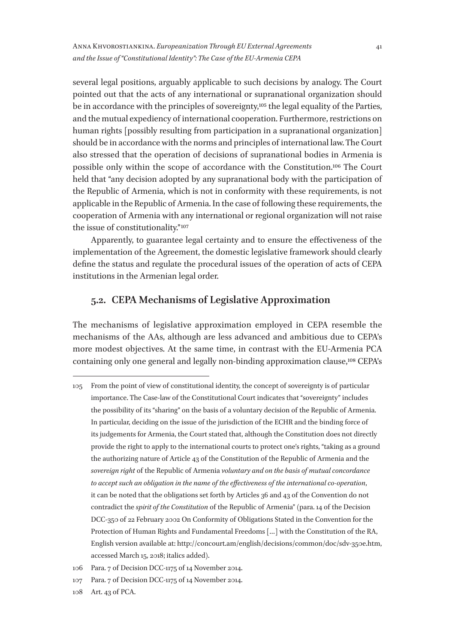Anna Khvorostiankina. *Europeanization Through EU External Agreements and the Issue of "Constitutional Identity": The Case of the EU-Armenia CEPA*

several legal positions, arguably applicable to such decisions by analogy. The Court pointed out that the acts of any international or supranational organization should be in accordance with the principles of sovereignty,105 the legal equality of the Parties, and the mutual expediency of international cooperation. Furthermore, restrictions on human rights [possibly resulting from participation in a supranational organization] should be in accordance with the norms and principles of international law. The Court also stressed that the operation of decisions of supranational bodies in Armenia is possible only within the scope of accordance with the Constitution.106 The Court held that "any decision adopted by any supranational body with the participation of the Republic of Armenia, which is not in conformity with these requirements, is not applicable in the Republic of Armenia. In the case of following these requirements, the cooperation of Armenia with any international or regional organization will not raise the issue of constitutionality." 107

Apparently, to guarantee legal certainty and to ensure the effectiveness of the implementation of the Agreement, the domestic legislative framework should clearly define the status and regulate the procedural issues of the operation of acts of CEPA institutions in the Armenian legal order.

#### **5.2. CEPA Mechanisms of Legislative Approximation**

The mechanisms of legislative approximation employed in CEPA resemble the mechanisms of the AAs, although are less advanced and ambitious due to CEPA's more modest objectives. At the same time, in contrast with the EU-Armenia PCA containing only one general and legally non-binding approximation clause,108 CEPA's

<sup>105</sup> From the point of view of constitutional identity, the concept of sovereignty is of particular importance. The Case-law of the Constitutional Court indicates that "sovereignty" includes the possibility of its "sharing" on the basis of a voluntary decision of the Republic of Armenia. In particular, deciding on the issue of the jurisdiction of the ECHR and the binding force of its judgements for Armenia, the Court stated that, although the Constitution does not directly provide the right to apply to the international courts to protect one's rights, "taking as a ground the authorizing nature of Article 43 of the Constitution of the Republic of Armenia and the *sovereign right* of the Republic of Armenia *voluntary and on the basis of mutual concordance to accept such an obligation in the name of the effectiveness of the international co-operation*, it can be noted that the obligations set forth by Articles 36 and 43 of the Convention do not contradict the *spirit of the Constitution* of the Republic of Armenia" (para. 14 of the Decision DCC-350 of 22 February 2002 On Conformity of Obligations Stated in the Convention for the Protection of Human Rights and Fundamental Freedoms […] with the Constitution of the RA, English version available at: http://concourt.am/english/decisions/common/doc/sdv-350e.htm, accessed March 15, 2018; italics added).

<sup>106</sup> Para. 7 of Decision DCC-1175 of 14 November 2014.

<sup>107</sup> Para. 7 of Decision DCC-1175 of 14 November 2014.

<sup>108</sup> Art. 43 of PCA.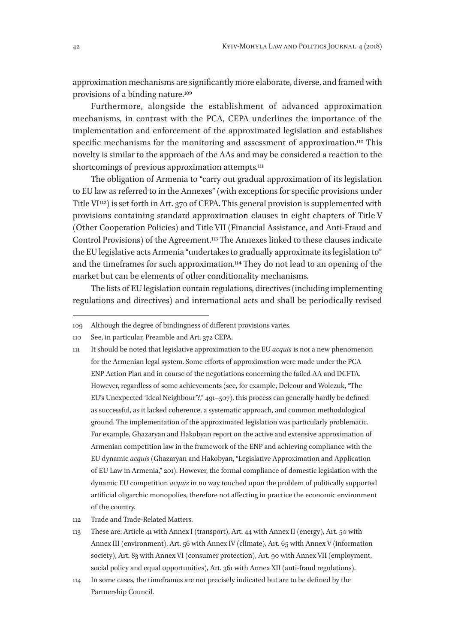approximation mechanisms are significantly more elaborate, diverse, and framed with provisions of a binding nature.109

Furthermore, alongside the establishment of advanced approximation mechanisms, in contrast with the PCA, CEPA underlines the importance of the implementation and enforcement of the approximated legislation and establishes specific mechanisms for the monitoring and assessment of approximation.<sup>110</sup> This novelty is similar to the approach of the AAs and may be considered a reaction to the shortcomings of previous approximation attempts.<sup>111</sup>

The obligation of Armenia to "carry out gradual approximation of its legislation to EU law as referred to in the Annexes" (with exceptions for specific provisions under Title  $V^{112}$ ) is set forth in Art. 370 of CEPA. This general provision is supplemented with provisions containing standard approximation clauses in eight chapters of Title V (Other Cooperation Policies) and Title VII (Financial Assistance, and Anti-Fraud and Control Provisions) of the Agreement.113 The Annexes linked to these clauses indicate the EU legislative acts Armenia "undertakes to gradually approximate its legislation to" and the timeframes for such approximation.114 They do not lead to an opening of the market but can be elements of other conditionality mechanisms.

The lists of EU legislation contain regulations, directives (including implementing regulations and directives) and international acts and shall be periodically revised

- 112 Trade and Trade-Related Matters.
- 113 These are: Article 41 with Annex I (transport), Art. 44 with Annex II (energy), Art. 50 with Annex III (environment), Art. 56 with Annex IV (climate), Art. 65 with Annex V (information society), Art. 83 with Annex VI (consumer protection), Art. 90 with Annex VII (employment, social policy and equal opportunities), Art. 361 with Annex XII (anti-fraud regulations).
- 114 In some cases, the timeframes are not precisely indicated but are to be defined by the Partnership Council.

<sup>109</sup> Although the degree of bindingness of different provisions varies.

<sup>110</sup> See, in particular, Preamble and Art. 372 CEPA.

<sup>111</sup> It should be noted that legislative approximation to the EU *acquis* is not a new phenomenon for the Armenian legal system. Some efforts of approximation were made under the PCA ENP Action Plan and in course of the negotiations concerning the failed AA and DCFTA. However, regardless of some achievements (see, for example, Delcour and Wolczuk, "The EU's Unexpected 'Ideal Neighbour'?," 491–507), this process can generally hardly be defined as successful, as it lacked coherence, a systematic approach, and common methodological ground. The implementation of the approximated legislation was particularly problematic. For example, Ghazaryan and Hakobyan report on the active and extensive approximation of Armenian competition law in the framework of the ENP and achieving compliance with the EU dynamic *acquis* (Ghazaryan and Hakobyan, "Legislative Approximation and Application of EU Law in Armenia," 201). However, the formal compliance of domestic legislation with the dynamic EU competition *acquis* in no way touched upon the problem of politically supported artificial oligarchic monopolies, therefore not affecting in practice the economic environment of the country.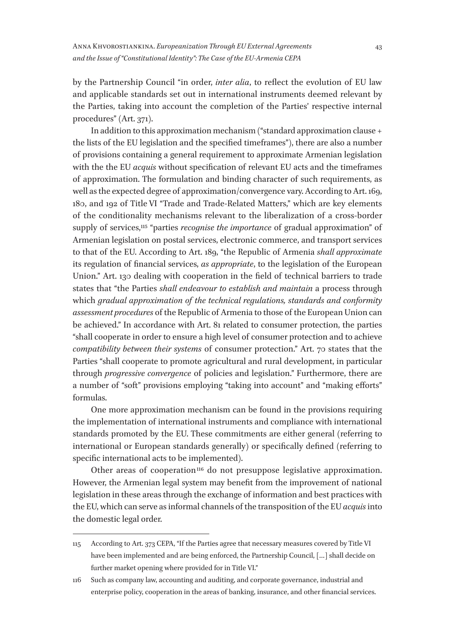by the Partnership Council "in order, *inter alia*, to reflect the evolution of EU law and applicable standards set out in international instruments deemed relevant by the Parties, taking into account the completion of the Parties' respective internal procedures" (Art. 371).

In addition to this approximation mechanism ("standard approximation clause + the lists of the EU legislation and the specified timeframes"), there are also a number of provisions containing a general requirement to approximate Armenian legislation with the the EU *acquis* without specification of relevant EU acts and the timeframes of approximation. The formulation and binding character of such requirements, as well as the expected degree of approximation/convergence vary. According to Art. 169, 180, and 192 of Title VI "Trade and Trade-Related Matters," which are key elements of the conditionality mechanisms relevant to the liberalization of a cross-border supply of services,115 "parties *recognise the importance* of gradual approximation" of Armenian legislation on postal services, electronic commerce, and transport services to that of the EU. According to Art. 189, "the Republic of Armenia *shall approximate* its regulation of financial services, *as appropriate*, to the legislation of the European Union." Art. 130 dealing with cooperation in the field of technical barriers to trade states that "the Parties *shall endeavour to establish and maintain* a process through which *gradual approximation of the technical regulations, standards and conformity assessment procedures* of the Republic of Armenia to those of the European Union can be achieved." In accordance with Art. 81 related to consumer protection, the parties "shall cooperate in order to ensure a high level of consumer protection and to achieve *compatibility between their systems* of consumer protection." Art. 70 states that the Parties "shall cooperate to promote agricultural and rural development, in particular through *progressive convergence* of policies and legislation." Furthermore, there are a number of "soft" provisions employing "taking into account" and "making efforts" formulas.

One more approximation mechanism can be found in the provisions requiring the implementation of international instruments and compliance with international standards promoted by the EU. These commitments are either general (referring to international or European standards generally) or specifically defined (referring to specific international acts to be implemented).

Other areas of cooperation<sup>116</sup> do not presuppose legislative approximation. However, the Armenian legal system may benefit from the improvement of national legislation in these areas through the exchange of information and best practices with the EU, which can serve as informal channels of the transposition of the EU *acquis* into the domestic legal order.

<sup>115</sup> According to Art. 373 CEPA, "If the Parties agree that necessary measures covered by Title VI have been implemented and are being enforced, the Partnership Council, […] shall decide on further market opening where provided for in Title VI."

<sup>116</sup> Such as company law, accounting and auditing, and corporate governance, industrial and enterprise policy, cooperation in the areas of banking, insurance, and other financial services.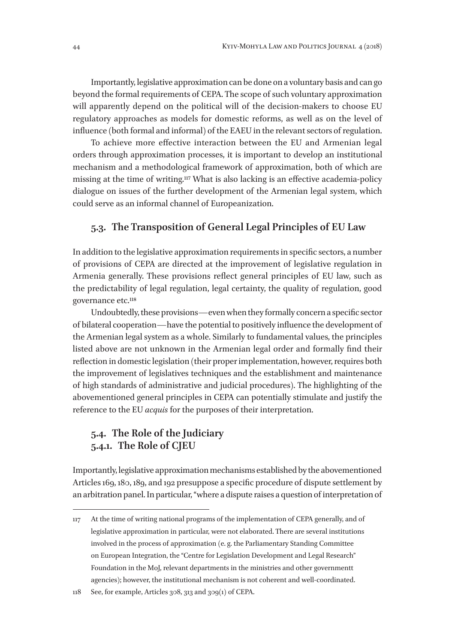Importantly, legislative approximation can be done on a voluntary basis and can go beyond the formal requirements of CEPA. The scope of such voluntary approximation will apparently depend on the political will of the decision-makers to choose EU regulatory approaches as models for domestic reforms, as well as on the level of influence (both formal and informal) of the EAEU in the relevant sectors of regulation.

To achieve more effective interaction between the EU and Armenian legal orders through approximation processes, it is important to develop an institutional mechanism and a methodological framework of approximation, both of which are missing at the time of writing.117 What is also lacking is an effective academia-policy dialogue on issues of the further development of the Armenian legal system, which could serve as an informal channel of Europeanization.

#### **5.3. The Transposition of General Legal Principles of EU Law**

In addition to the legislative approximation requirements in specific sectors, a number of provisions of CEPA are directed at the improvement of legislative regulation in Armenia generally. These provisions reflect general principles of EU law, such as the predictability of legal regulation, legal certainty, the quality of regulation, good governance etc.<sup>118</sup>

Undoubtedly, these provisions—even when they formally concern a specific sector of bilateral cooperation—have the potential to positively influence the development of the Armenian legal system as a whole. Similarly to fundamental values, the principles listed above are not unknown in the Armenian legal order and formally find their reflection in domestic legislation (their proper implementation, however, requires both the improvement of legislatives techniques and the establishment and maintenance of high standards of administrative and judicial procedures). The highlighting of the abovementioned general principles in CEPA can potentially stimulate and justify the reference to the EU *acquis* for the purposes of their interpretation.

### **5.4. The Role of the Judiciary 5.4.1. The Role of CJEU**

Importantly, legislative approximation mechanisms established by the abovementioned Articles 169, 180, 189, and 192 presuppose a specific procedure of dispute settlement by an arbitration panel. In particular, "where a dispute raises a question of interpretation of

118 See, for example, Articles 308, 313 and 309(1) of CEPA.

<sup>117</sup> At the time of writing national programs of the implementation of CEPA generally, and of legislative approximation in particular, were not elaborated. There are several institutions involved in the process of approximation (e. g. the Parliamentary Standing Committee on European Integration, the "Centre for Legislation Development and Legal Research" Foundation in the MoJ, relevant departments in the ministries and other governmentt agencies); however, the institutional mechanism is not coherent and well-coordinated.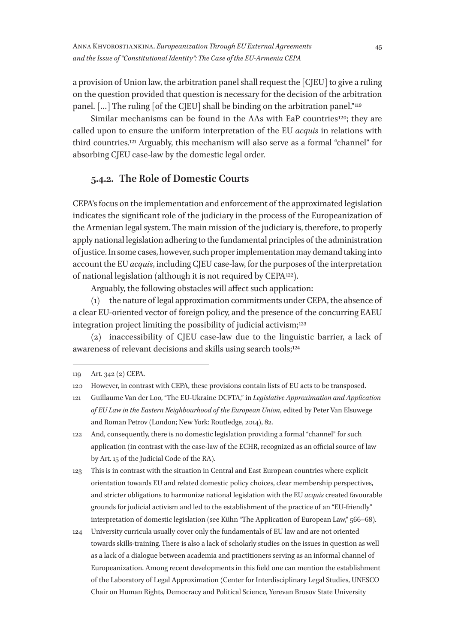a provision of Union law, the arbitration panel shall request the [CJEU] to give a ruling on the question provided that question is necessary for the decision of the arbitration panel.  $[\,...]$  The ruling [of the C[EU] shall be binding on the arbitration panel.<sup>"119</sup>

Similar mechanisms can be found in the AAs with EaP countries<sup>120</sup>; they are called upon to ensure the uniform interpretation of the EU *acquis* in relations with third countries.121 Arguably, this mechanism will also serve as a formal "channel" for absorbing CJEU case-law by the domestic legal order.

### **5.4.2. The Role of Domestic Courts**

CEPA's focus on the implementation and enforcement of the approximated legislation indicates the significant role of the judiciary in the process of the Europeanization of the Armenian legal system. The main mission of the judiciary is, therefore, to properly apply national legislation adhering to the fundamental principles of the administration of justice. In some cases, however, such proper implementation may demand taking into account the EU *acquis*, including CJEU case-law, for the purposes of the interpretation of national legislation (although it is not required by CEPA 122).

Arguably, the following obstacles will affect such application:

(1) the nature of legal approximation commitments under CEPA, the absence of a clear EU-oriented vector of foreign policy, and the presence of the concurring EAEU integration project limiting the possibility of judicial activism;<sup>123</sup>

(2) inaccessibility of CJEU case-law due to the linguistic barrier, a lack of awareness of relevant decisions and skills using search tools;<sup>124</sup>

122 And, consequently, there is no domestic legislation providing a formal "channel" for such application (in contrast with the case-law of the ECHR, recognized as an official source of law by Art. 15 of the Judicial Code of the RA).

123 This is in contrast with the situation in Central and East European countries where explicit orientation towards EU and related domestic policy choices, clear membership perspectives, and stricter obligations to harmonize national legislation with the EU *acquis* created favourable grounds for judicial activism and led to the establishment of the practice of an "EU-friendly" interpretation of domestic legislation (see Kühn "The Application of European Law," 566–68).

124 University curricula usually cover only the fundamentals of EU law and are not oriented towards skills-training. There is also a lack of scholarly studies on the issues in question as well as a lack of a dialogue between academia and practitioners serving as an informal channel of Europeanization. Among recent developments in this field one can mention the establishment of the Laboratory of Legal Approximation (Center for Interdisciplinary Legal Studies, UNESCO Chair on Human Rights, Democracy and Political Science, Yerevan Brusov State University

<sup>119</sup> Art. 342 (2) CEPA.

<sup>120</sup> However, in contrast with CEPA, these provisions contain lists of EU acts to be transposed.

<sup>121</sup> Guillaume Van der Loo, "The EU-Ukraine DCFTA," in *Legislative Approximation and Application of EU Law in the Eastern Neighbourhood of the European Union*, edited by Peter Van Elsuwege and Roman Petrov (London; New York: Routledge, 2014), 82.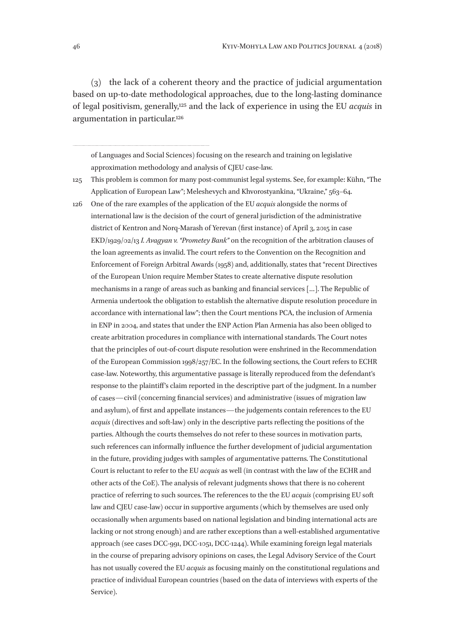(3) the lack of a coherent theory and the practice of judicial argumentation based on up-to-date methodological approaches, due to the long-lasting dominance of legal positivism, generally,125 and the lack of experience in using the EU *acquis* in argumentation in particular.126

of Languages and Social Sciences) focusing on the research and training on legislative approximation methodology and analysis of CJEU case-law.

125 This problem is common for many post-communist legal systems. See, for example: Kühn, "The Application of European Law"; Meleshevych and Khvorostyankina, "Ukraine," 563-64.

126 One of the rare examples of the application of the EU *acquis* alongside the norms of international law is the decision of the court of general jurisdiction of the administrative district of Kentron and Norq-Marash of Yerevan (first instance) of April 3, 2015 in case EKD/1929/02/13 *I. Avagyan v. "Prometey Bank"* on the recognition of the arbitration clauses of the loan agreements as invalid. The court refers to the Convention on the Recognition and Enforcement of Foreign Arbitral Awards (1958) and, additionally, states that "recent Directives of the European Union require Member States to create alternative dispute resolution mechanisms in a range of areas such as banking and financial services […]. The Republic of Armenia undertook the obligation to establish the alternative dispute resolution procedure in accordance with international law"; then the Court mentions PCA, the inclusion of Armenia in ENP in 2004, and states that under the ENP Action Plan Armenia has also been obliged to create arbitration procedures in compliance with international standards. The Court notes that the principles of out-of-court dispute resolution were enshrined in the Recommendation of the European Commission 1998/257/EC. In the following sections, the Court refers to ECHR case-law. Noteworthy, this argumentative passage is literally reproduced from the defendant's response to the plaintiff's claim reported in the descriptive part of the judgment. In a number of cases—civil (concerning financial services) and administrative (issues of migration law and asylum), of first and appellate instances—the judgements contain references to the EU *acquis* (directives and soft-law) only in the descriptive parts reflecting the positions of the parties. Although the courts themselves do not refer to these sources in motivation parts, such references can informally influence the further development of judicial argumentation in the future, providing judges with samples of argumentative patterns. The Constitutional Court is reluctant to refer to the EU *acquis* as well (in contrast with the law of the ECHR and other acts of the CoE). The analysis of relevant judgments shows that there is no coherent practice of referring to such sources. The references to the the EU *acquis* (comprising EU soft law and CJEU case-law) occur in supportive arguments (which by themselves are used only occasionally when arguments based on national legislation and binding international acts are lacking or not strong enough) and are rather exceptions than a well-established argumentative approach (see cases DCC‑991, DCC‑1051, DCC‑1244). While examining foreign legal materials in the course of preparing advisory opinions on cases, the Legal Advisory Service of the Court has not usually covered the EU *acquis* as focusing mainly on the constitutional regulations and practice of individual European countries (based on the data of interviews with experts of the Service).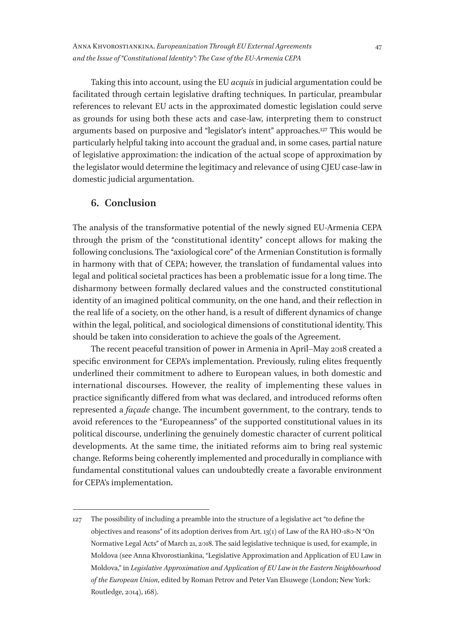Taking this into account, using the EU *acquis* in judicial argumentation could be facilitated through certain legislative drafting techniques. In particular, preambular references to relevant EU acts in the approximated domestic legislation could serve as grounds for using both these acts and case-law, interpreting them to construct arguments based on purposive and "legislator's intent" approaches.127 This would be particularly helpful taking into account the gradual and, in some cases, partial nature of legislative approximation: the indication of the actual scope of approximation by the legislator would determine the legitimacy and relevance of using CJEU case-law in domestic judicial argumentation.

#### **6. Conclusion**

The analysis of the transformative potential of the newly signed EU-Armenia CEPA through the prism of the "constitutional identity" concept allows for making the following conclusions. The "axiological core" of the Armenian Constitution is formally in harmony with that of CEPA; however, the translation of fundamental values into legal and political societal practices has been a problematic issue for a long time. The disharmony between formally declared values and the constructed constitutional identity of an imagined political community, on the one hand, and their reflection in the real life of a society, on the other hand, is a result of different dynamics of change within the legal, political, and sociological dimensions of constitutional identity. This should be taken into consideration to achieve the goals of the Agreement.

The recent peaceful transition of power in Armenia in April–May 2018 created a specific environment for CEPA's implementation. Previously, ruling elites frequently underlined their commitment to adhere to European values, in both domestic and international discourses. However, the reality of implementing these values in practice significantly differed from what was declared, and introduced reforms often represented a *façade* change. The incumbent government, to the contrary, tends to avoid references to the "Europeanness" of the supported constitutional values in its political discourse, underlining the genuinely domestic character of current political developments. At the same time, the initiated reforms aim to bring real systemic change. Reforms being coherently implemented and procedurally in compliance with fundamental constitutional values can undoubtedly create a favorable environment for CEPA's implementation.

<sup>127</sup> The possibility of including a preamble into the structure of a legislative act "to define the objectives and reasons" of its adoption derives from Art. 13(1) of Law of the RA HO-180-N "On Normative Legal Acts" of March 21, 2018. The said legislative technique is used, for example, in Moldova (see Anna Khvorostiankina, "Legislative Approximation and Application of EU Law in Moldova," in *Legislative Approximation and Application of EU Law in the Eastern Neighbourhood of the European Union*, edited by Roman Petrov and Peter Van Elsuwege (London; New York: Routledge, 2014), 168).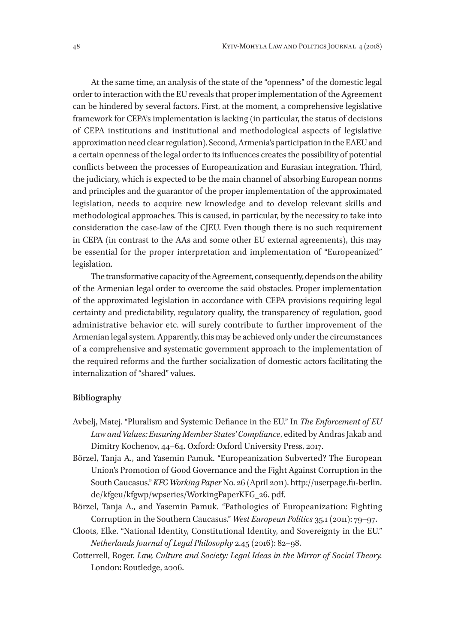At the same time, an analysis of the state of the "openness" of the domestic legal order to interaction with the EU reveals that proper implementation of the Agreement can be hindered by several factors. First, at the moment, a comprehensive legislative framework for CEPA's implementation is lacking (in particular, the status of decisions of CEPA institutions and institutional and methodological aspects of legislative approximation need clear regulation). Second, Armenia's participation in the EAEU and a certain openness of the legal order to its influences creates the possibility of potential conflicts between the processes of Europeanization and Eurasian integration. Third, the judiciary, which is expected to be the main channel of absorbing European norms and principles and the guarantor of the proper implementation of the approximated legislation, needs to acquire new knowledge and to develop relevant skills and methodological approaches. This is caused, in particular, by the necessity to take into consideration the case-law of the CJEU. Even though there is no such requirement in CEPA (in contrast to the AAs and some other EU external agreements), this may be essential for the proper interpretation and implementation of "Europeanized" legislation.

The transformative capacity of the Agreement, consequently, depends on the ability of the Armenian legal order to overcome the said obstacles. Proper implementation of the approximated legislation in accordance with CEPA provisions requiring legal certainty and predictability, regulatory quality, the transparency of regulation, good administrative behavior etc. will surely contribute to further improvement of the Armenian legal system. Apparently, this may be achieved only under the circumstances of a comprehensive and systematic government approach to the implementation of the required reforms and the further socialization of domestic actors facilitating the internalization of "shared" values.

#### **Bibliography**

- Avbelj, Matej. "Pluralism and Systemic Defiance in the EU." In *The Enforcement of EU Law and Values: Ensuring Member States' Compliance*, edited by Andras Jakab and Dimitry Kochenov, 44–64. Oxford: Oxford University Press, 2017.
- Börzel, Tanja A., and Yasemin Pamuk. "Europeanization Subverted? The European Union's Promotion of Good Governance and the Fight Against Corruption in the South Caucasus." *KFG Working Paper* No. 26 (April 2011). http://userpage.fu-berlin. de/kfgeu/kfgwp/wpseries/WorkingPaperKFG\_26. pdf.
- Börzel, Tanja A., and Yasemin Pamuk. "Pathologies of Europeanization: Fighting Corruption in the Southern Caucasus." *West European Politics* 35.1 (2011): 79–97.
- Cloots, Elke. "National Identity, Constitutional Identity, and Sovereignty in the EU." *Netherlands Journal of Legal Philosophy* 2.45 (2016): 82–98.
- Cotterrell, Roger. *Law, Culture and Society: Legal Ideas in the Mirror of Social Theory.*  London: Routledge, 2006.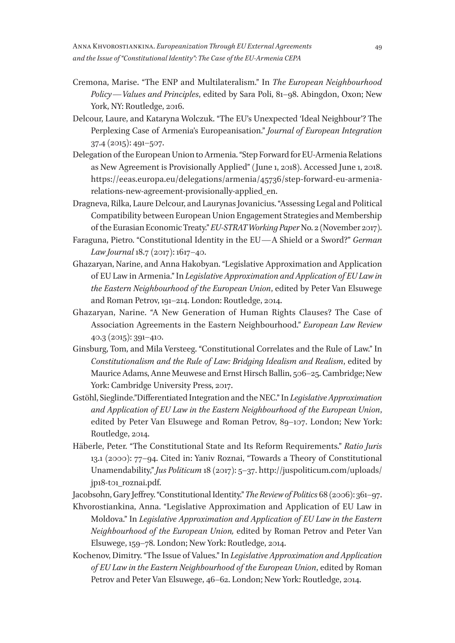- Cremona, Marise. "The ENP and Multilateralism." In *The European Neighbourhood Policy—Values and Principles*, edited by Sara Poli, 81–98. Abingdon, Oxon; New York, NY: Routledge, 2016.
- Delcour, Laure, and Kataryna Wolczuk. "The EU's Unexpected 'Ideal Neighbour'? The Perplexing Case of Armenia's Europeanisation." *Journal of European Integration* 37.4 (2015): 491–507.
- Delegation of the European Union to Armenia. "Step Forward for EU-Armenia Relations as New Agreement is Provisionally Applied" (June 1, 2018). Accessed June 1, 2018. https://eeas.europa.eu/delegations/armenia/45736/step-forward-eu-armeniarelations-new-agreement-provisionally-applied\_en.
- Dragneva, Rilka, Laure Delcour, and Laurynas Jovanicius. "Assessing Legal and Political Compatibility between European Union Engagement Strategies and Membership of the Eurasian Economic Treaty." *EU-STRAT Working Paper* No. 2 (November 2017).
- Faraguna, Pietro. "Constitutional Identity in the EU—A Shield or a Sword?" *German Law Journal* 18.7 (2017): 1617–40.
- Ghazaryan, Narine, and Anna Hakobyan. "Legislative Approximation and Application of EU Law in Armenia." In *Legislative Approximation and Application of EU Law in the Eastern Neighbourhood of the European Union*, edited by Peter Van Elsuwege and Roman Petrov, 191–214. London: Routledge, 2014.
- Ghazaryan, Narine. "A New Generation of Human Rights Clauses? The Case of Association Agreements in the Eastern Neighbourhood." *European Law Review* 40.3 (2015): 391–410.
- Ginsburg, Tom, and Mila Versteeg. "Constitutional Correlates and the Rule of Law." In *Constitutionalism and the Rule of Law: Bridging Idealism and Realism*, edited by Maurice Adams, Anne Meuwese and Ernst Hirsch Ballin, 506–25. Cambridge; New York: Cambridge University Press, 2017.
- Gstöhl, Sieglinde."Differentiated Integration and the NEC." In *Legislative Approximation and Application of EU Law in the Eastern Neighbourhood of the European Union*, edited by Peter Van Elsuwege and Roman Petrov, 89–107. London; New York: Routledge, 2014.
- Häberle, Peter. "The Constitutional State and Its Reform Requirements." *Ratio Juris* 13.1 (2000): 77–94. Cited in: Yaniv Roznai, "Towards a Theory of Constitutional Unamendability," *Jus Politicum* 18 (2017): 5–37. http://juspoliticum.com/uploads/ jp18-t01\_roznai.pdf.

Jacobsohn, Gary Jeffrey. "Constitutional Identity." *The Review of Politics* 68 (2006): 361–97.

- Khvorostiankina, Anna. "Legislative Approximation and Application of EU Law in Moldova." In *Legislative Approximation and Application of EU Law in the Eastern Neighbourhood of the European Union,* edited by Roman Petrov and Peter Van Elsuwege, 159–78. London; New York: Routledge, 2014.
- Kochenov, Dimitry. "The Issue of Values." In *Legislative Approximation and Application of EU Law in the Eastern Neighbourhood of the European Union*, edited by Roman Petrov and Peter Van Elsuwege, 46–62. London; New York: Routledge, 2014.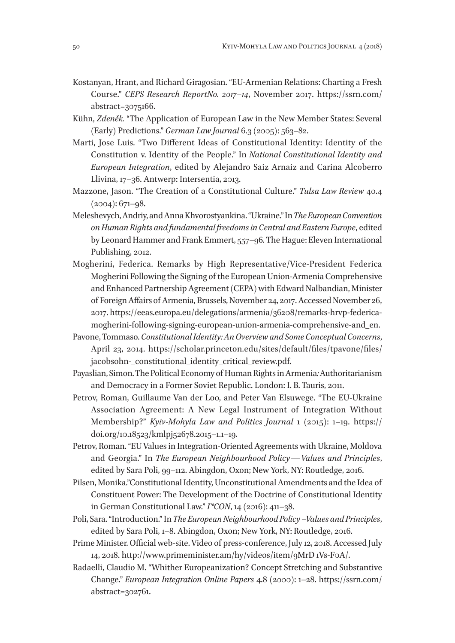- Kostanyan, Hrant, and Richard Giragosian. "EU-Armenian Relations: Charting a Fresh Course." *CEPS Research ReportNo. 2017–14*, November 2017. https://ssrn.com/ abstract=3075166.
- Kühn, *Zdeněk.* "The Application of European Law in the New Member States: Several (Early) Predictions." *German Law Journal* 6.3 (2005): 563–82.
- Marti, Jose Luis. "Two Different Ideas of Constitutional Identity: Identity of the Constitution v. Identity of the People." In *National Constitutional Identity and European Integration*, edited by Alejandro Saiz Arnaiz and Carina Alcoberro Llivina, 17–36. Antwerp: Intersentia, 2013.
- Mazzone, Jason. "The Creation of a Constitutional Culture." *Tulsa Law Review* 40.4  $(2004): 671 - 98.$
- Meleshevych, Andriy, and Anna Khvorostyankina. "Ukraine." In *The European Convention on Human Rights and fundamental freedoms in Central and Eastern Europe*, edited by Leonard Hammer and Frank Emmert, 557–96*.* The Hague: Eleven International Publishing, 2012.
- Mogherini, Federica. Remarks by High Representative/Vice-President Federica Mogherini Following the Signing of the European Union-Armenia Comprehensive and Enhanced Partnership Agreement (CEPA) with Edward Nalbandian, Minister of Foreign Affairs of Armenia, Brussels, November 24, 2017. Accessed November 26, 2017. https://eeas.europa.eu/delegations/armenia/36208/remarks-hrvp-federicamogherini-following-signing-european-union-armenia-comprehensive-and\_en.
- Pavone, Tommaso. *Constitutional Identity: An Overview and Some Conceptual Concerns*, April 23, 2014. https://scholar.princeton.edu/sites/default/files/tpavone/files/ jacobsohn-\_constitutional\_identity\_critical\_review.pdf.
- Payaslian, Simon. The Political Economy of Human Rights in Armenia*:* Authoritarianism and Democracy in a Former Soviet Republic. London: I. B. Tauris, 2011.
- Petrov, Roman, Guillaume Van der Loo, and Peter Van Elsuwege. "The EU-Ukraine Association Agreement: A New Legal Instrument of Integration Without Membership?" *Kyiv-Mohyla Law and Politics Journal* 1 (2015): 1–19. https:// doi.org/10.18523/kmlpj52678.2015–1.1–19.
- Petrov, Roman. "EU Values in Integration-Oriented Agreements with Ukraine, Moldova and Georgia." In *The European Neighbourhood Policy—Values and Principles*, edited by Sara Poli, 99–112. Abingdon, Oxon; New York, NY: Routledge, 2016.
- Pilsen, Monika."Constitutional Identity, Unconstitutional Amendments and the Idea of Constituent Power: The Development of the Doctrine of Constitutional Identity in German Constitutional Law." *I\*CON*, 14 (2016): 411–38.
- Poli, Sara. "Introduction." In *The European Neighbourhood Policy –Values and Principles*, edited by Sara Poli, 1–8. Abingdon, Oxon; New York, NY: Routledge, 2016.
- Prime Minister. Official web-site. Video of press-conference, July 12, 2018. Accessed July 14, 2018. http://www.primeminister.am/hy/videos/item/9MrD 1Vs-F0A/.
- Radaelli, Claudio M. "Whither Europeanization? Concept Stretching and Substantive Change." *European Integration Online Papers* 4.8 (2000): 1–28. https://ssrn.com/ abstract=302761.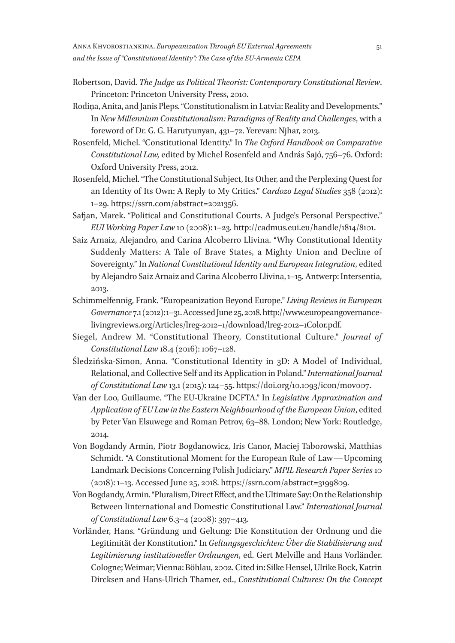- Robertson, David. *The Judge as Political Theorist: Contemporary Constitutional Review*. Princeton: Princeton University Press, 2010.
- Rodiņa, Anita, and Janis Pleps. "Constitutionalism in Latvia: Reality and Developments." In *New Millennium Constitutionalism: Paradigms of Reality and Challenges*, with a foreword of Dr. G. G. Harutyunyan, 431–72. Yerevan: Njhar, 2013.
- Rosenfeld, Michel. "Constitutional Identity." In *The Oxford Handbook on Comparative Constitutional Law,* edited by Michel Rosenfeld and András Sajó, 756–76. Oxford: Oxford University Press, 2012.
- Rosenfeld, Michel. "The Constitutional Subject, Its Other, and the Perplexing Quest for an Identity of Its Own: A Reply to My Critics." *Cardozo Legal Studies* 358 (2012): 1–29. https://ssrn.com/abstract=2021356.
- Safjan, Marek. "Political and Constitutional Courts. A Judge's Personal Perspective." *EUI Working Paper Law* 10 (2008): 1–23. http://cadmus.eui.eu/handle/1814/8101.
- Saiz Arnaiz, Alejandro, and Carina Alcoberro Llivina. "Why Constitutional Identity Suddenly Matters: A Tale of Brave States, a Mighty Union and Decline of Sovereignty." In *National Constitutional Identity and European Integration*, edited by Alejandro Saiz Arnaiz and Carina Alcoberro Llivina, 1–15. Antwerp: Intersentia, 2013.
- Schimmelfennig, Frank. "Europeanization Beyond Europe." *Living Reviews in European Governance* 7.1 (2012): 1–31. Accessed June 25, 2018. http://www.europeangovernancelivingreviews.org/Articles/lreg-2012-1/download/lreg-2012-1Color.pdf.
- Siegel, Andrew M. "Constitutional Theory, Constitutional Culture." *Journal of Constitutional Law* 18.4 (2016): 1067–128.
- Śledzińska-Simon, Anna. "Constitutional Identity in 3D: A Model of Individual, Relational, and Collective Self and its Application in Poland." *International Journal of Constitutional Law* 13.1 (2015): 124–55. https://doi.org/10.1093/icon/mov007.
- Van der Loo, Guillaume. "The EU-Ukraine DCFTA." In *Legislative Approximation and Application of EU Law in the Eastern Neighbourhood of the European Union*, edited by Peter Van Elsuwege and Roman Petrov, 63–88. London; New York: Routledge, 2014.
- Von Bogdandy Armin, Piotr Bogdanowicz, Iris Canor, Maciej Taborowski, Matthias Schmidt. "A Constitutional Moment for the European Rule of Law—Upcoming Landmark Decisions Concerning Polish Judiciary." *MPIL Research Paper Series* 10 (2018): 1–13. Accessed June 25, 2018. https://ssrn.com/abstract=3199809.
- Von Bogdandy, Armin. "Pluralism, Direct Effect, and the Ultimate Say: On the Relationship Between Iinternational and Domestic Constitutional Law." *International Journal of Constitutional Law* 6.3–4 (2008): 397–413.
- Vorländer, Hans. "Gründung und Geltung: Die Konstitution der Ordnung und die Legitimität der Konstitution." In *Geltungsgeschichten: Über die Stabilisierung und Legitimierung institutioneller Ordnungen*, ed. Gert Melville and Hans Vorländer. Cologne; Weimar; Vienna: Böhlau, 2002. Cited in: Silke Hensel, Ulrike Bock, Katrin Dircksen and Hans-Ulrich Thamer, ed., *Constitutional Cultures: On the Concept*